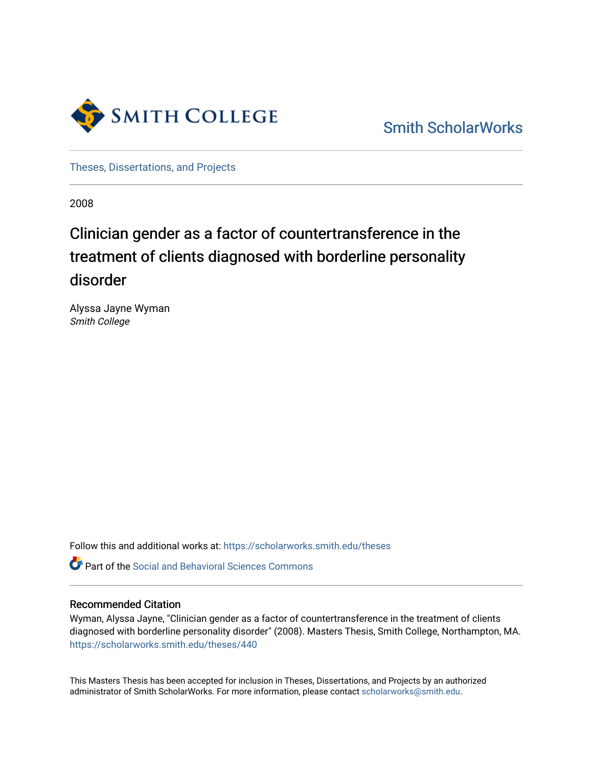

[Smith ScholarWorks](https://scholarworks.smith.edu/) 

[Theses, Dissertations, and Projects](https://scholarworks.smith.edu/theses) 

2008

# Clinician gender as a factor of countertransference in the treatment of clients diagnosed with borderline personality disorder

Alyssa Jayne Wyman Smith College

Follow this and additional works at: [https://scholarworks.smith.edu/theses](https://scholarworks.smith.edu/theses?utm_source=scholarworks.smith.edu%2Ftheses%2F440&utm_medium=PDF&utm_campaign=PDFCoverPages) 

**C** Part of the Social and Behavioral Sciences Commons

# Recommended Citation

Wyman, Alyssa Jayne, "Clinician gender as a factor of countertransference in the treatment of clients diagnosed with borderline personality disorder" (2008). Masters Thesis, Smith College, Northampton, MA. [https://scholarworks.smith.edu/theses/440](https://scholarworks.smith.edu/theses/440?utm_source=scholarworks.smith.edu%2Ftheses%2F440&utm_medium=PDF&utm_campaign=PDFCoverPages) 

This Masters Thesis has been accepted for inclusion in Theses, Dissertations, and Projects by an authorized administrator of Smith ScholarWorks. For more information, please contact [scholarworks@smith.edu](mailto:scholarworks@smith.edu).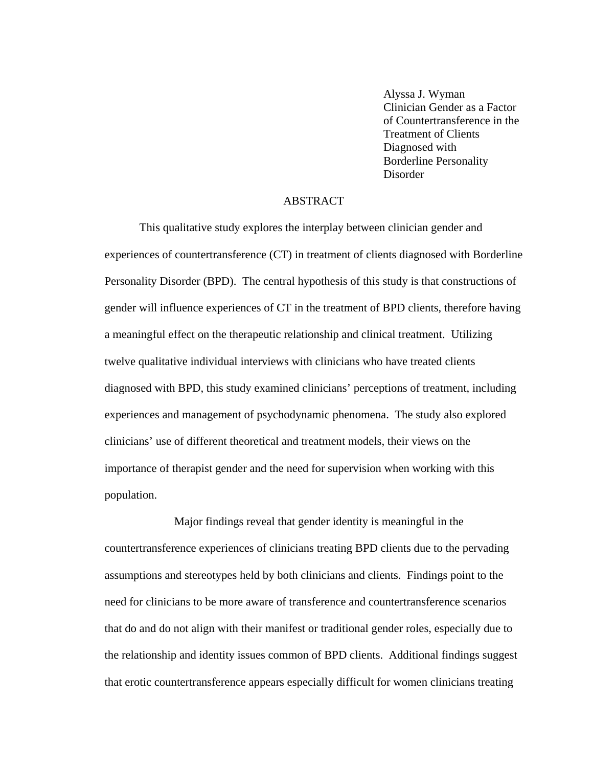Alyssa J. Wyman Clinician Gender as a Factor of Countertransference in the Treatment of Clients Diagnosed with Borderline Personality Disorder

# ABSTRACT

This qualitative study explores the interplay between clinician gender and experiences of countertransference (CT) in treatment of clients diagnosed with Borderline Personality Disorder (BPD). The central hypothesis of this study is that constructions of gender will influence experiences of CT in the treatment of BPD clients, therefore having a meaningful effect on the therapeutic relationship and clinical treatment. Utilizing twelve qualitative individual interviews with clinicians who have treated clients diagnosed with BPD, this study examined clinicians' perceptions of treatment, including experiences and management of psychodynamic phenomena. The study also explored clinicians' use of different theoretical and treatment models, their views on the importance of therapist gender and the need for supervision when working with this population.

 Major findings reveal that gender identity is meaningful in the countertransference experiences of clinicians treating BPD clients due to the pervading assumptions and stereotypes held by both clinicians and clients. Findings point to the need for clinicians to be more aware of transference and countertransference scenarios that do and do not align with their manifest or traditional gender roles, especially due to the relationship and identity issues common of BPD clients. Additional findings suggest that erotic countertransference appears especially difficult for women clinicians treating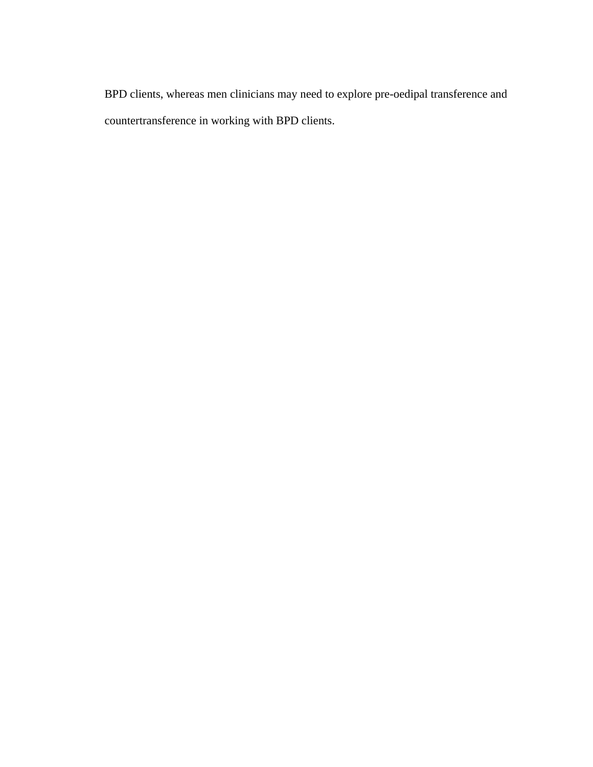BPD clients, whereas men clinicians may need to explore pre-oedipal transference and countertransference in working with BPD clients.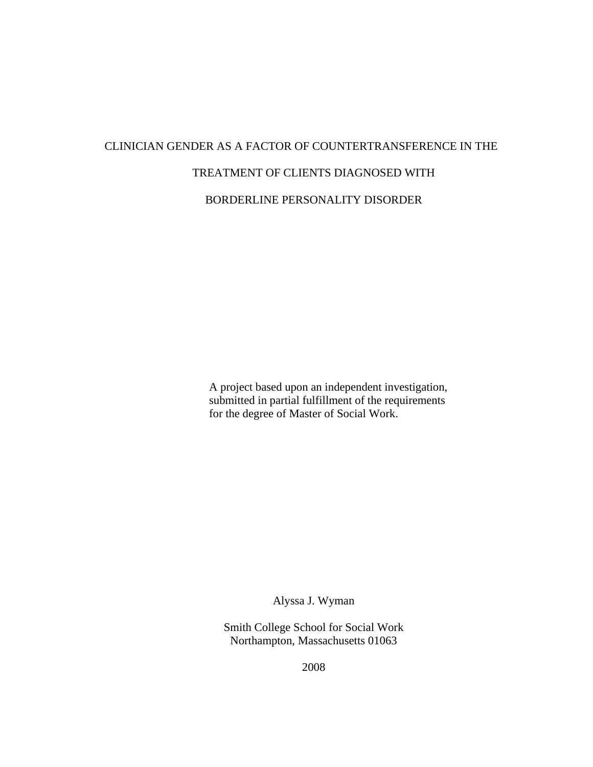# CLINICIAN GENDER AS A FACTOR OF COUNTERTRANSFERENCE IN THE TREATMENT OF CLIENTS DIAGNOSED WITH BORDERLINE PERSONALITY DISORDER

A project based upon an independent investigation, submitted in partial fulfillment of the requirements for the degree of Master of Social Work.

Alyssa J. Wyman

Smith College School for Social Work Northampton, Massachusetts 01063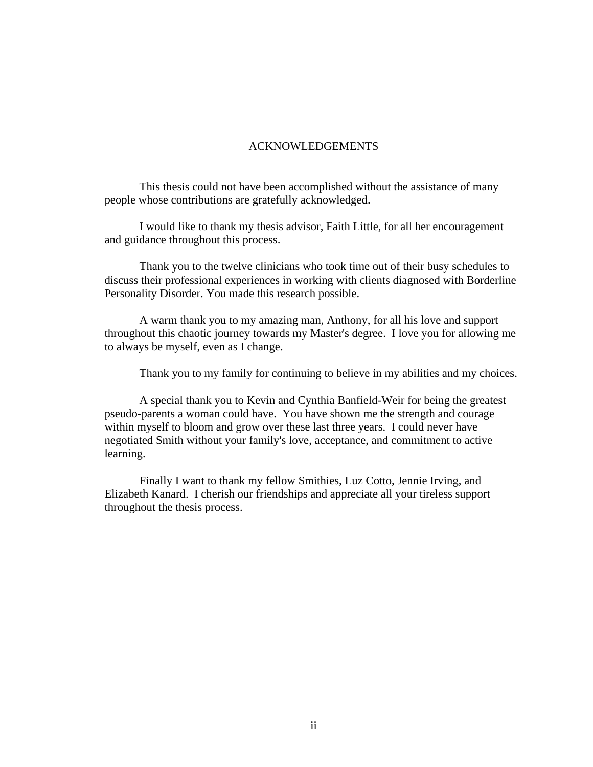### ACKNOWLEDGEMENTS

This thesis could not have been accomplished without the assistance of many people whose contributions are gratefully acknowledged.

I would like to thank my thesis advisor, Faith Little, for all her encouragement and guidance throughout this process.

Thank you to the twelve clinicians who took time out of their busy schedules to discuss their professional experiences in working with clients diagnosed with Borderline Personality Disorder. You made this research possible.

A warm thank you to my amazing man, Anthony, for all his love and support throughout this chaotic journey towards my Master's degree. I love you for allowing me to always be myself, even as I change.

Thank you to my family for continuing to believe in my abilities and my choices.

A special thank you to Kevin and Cynthia Banfield-Weir for being the greatest pseudo-parents a woman could have. You have shown me the strength and courage within myself to bloom and grow over these last three years. I could never have negotiated Smith without your family's love, acceptance, and commitment to active learning.

Finally I want to thank my fellow Smithies, Luz Cotto, Jennie Irving, and Elizabeth Kanard. I cherish our friendships and appreciate all your tireless support throughout the thesis process.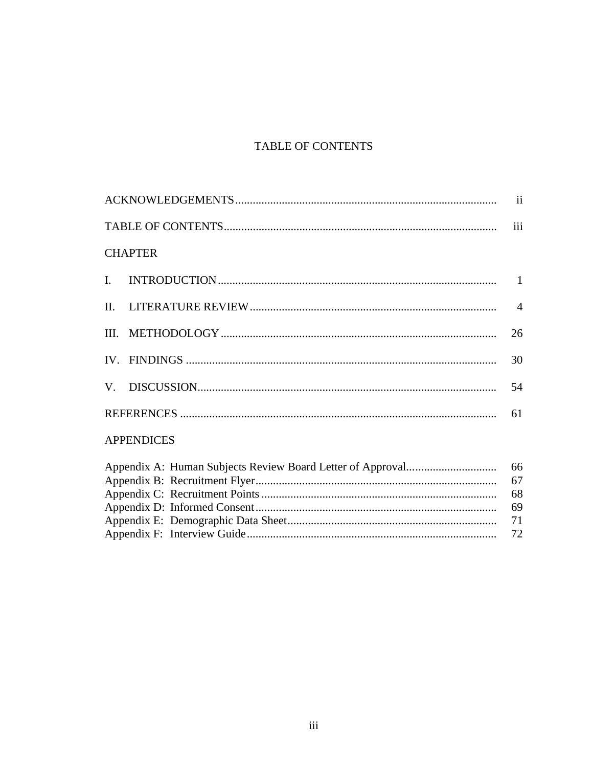# TABLE OF CONTENTS

|                   | $\mathbf{ii}$  |
|-------------------|----------------|
|                   | iii            |
| <b>CHAPTER</b>    |                |
| $\mathbf{I}$ .    |                |
| $\mathbf{u}$ .    | $\overline{4}$ |
| III.              | 26             |
|                   | 30             |
|                   | 54             |
|                   | 61             |
| <b>APPENDICES</b> |                |
|                   | 66             |
|                   | 67             |
|                   | 68             |
|                   | 69             |
|                   | 71             |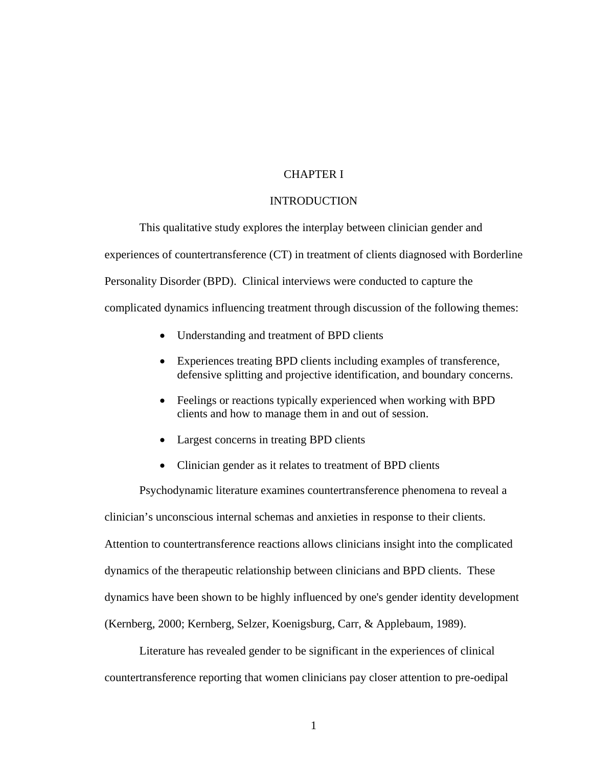## CHAPTER I

#### INTRODUCTION

This qualitative study explores the interplay between clinician gender and experiences of countertransference (CT) in treatment of clients diagnosed with Borderline Personality Disorder (BPD). Clinical interviews were conducted to capture the complicated dynamics influencing treatment through discussion of the following themes:

- Understanding and treatment of BPD clients
- Experiences treating BPD clients including examples of transference, defensive splitting and projective identification, and boundary concerns.
- Feelings or reactions typically experienced when working with BPD clients and how to manage them in and out of session.
- Largest concerns in treating BPD clients
- Clinician gender as it relates to treatment of BPD clients

Psychodynamic literature examines countertransference phenomena to reveal a clinician's unconscious internal schemas and anxieties in response to their clients. Attention to countertransference reactions allows clinicians insight into the complicated dynamics of the therapeutic relationship between clinicians and BPD clients. These dynamics have been shown to be highly influenced by one's gender identity development (Kernberg, 2000; Kernberg, Selzer, Koenigsburg, Carr, & Applebaum, 1989).

Literature has revealed gender to be significant in the experiences of clinical countertransference reporting that women clinicians pay closer attention to pre-oedipal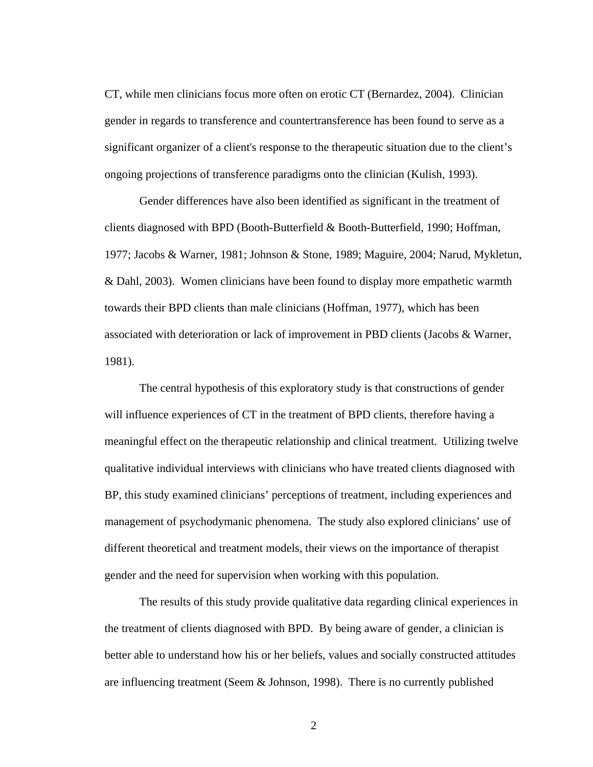CT, while men clinicians focus more often on erotic CT (Bernardez, 2004). Clinician gender in regards to transference and countertransference has been found to serve as a significant organizer of a client's response to the therapeutic situation due to the client's ongoing projections of transference paradigms onto the clinician (Kulish, 1993).

Gender differences have also been identified as significant in the treatment of clients diagnosed with BPD (Booth-Butterfield & Booth-Butterfield, 1990; Hoffman, 1977; Jacobs & Warner, 1981; Johnson & Stone, 1989; Maguire, 2004; Narud, Mykletun, & Dahl, 2003). Women clinicians have been found to display more empathetic warmth towards their BPD clients than male clinicians (Hoffman, 1977), which has been associated with deterioration or lack of improvement in PBD clients (Jacobs & Warner, 1981).

The central hypothesis of this exploratory study is that constructions of gender will influence experiences of CT in the treatment of BPD clients, therefore having a meaningful effect on the therapeutic relationship and clinical treatment. Utilizing twelve qualitative individual interviews with clinicians who have treated clients diagnosed with BP, this study examined clinicians' perceptions of treatment, including experiences and management of psychodymanic phenomena. The study also explored clinicians' use of different theoretical and treatment models, their views on the importance of therapist gender and the need for supervision when working with this population.

The results of this study provide qualitative data regarding clinical experiences in the treatment of clients diagnosed with BPD. By being aware of gender, a clinician is better able to understand how his or her beliefs, values and socially constructed attitudes are influencing treatment (Seem  $&$  Johnson, 1998). There is no currently published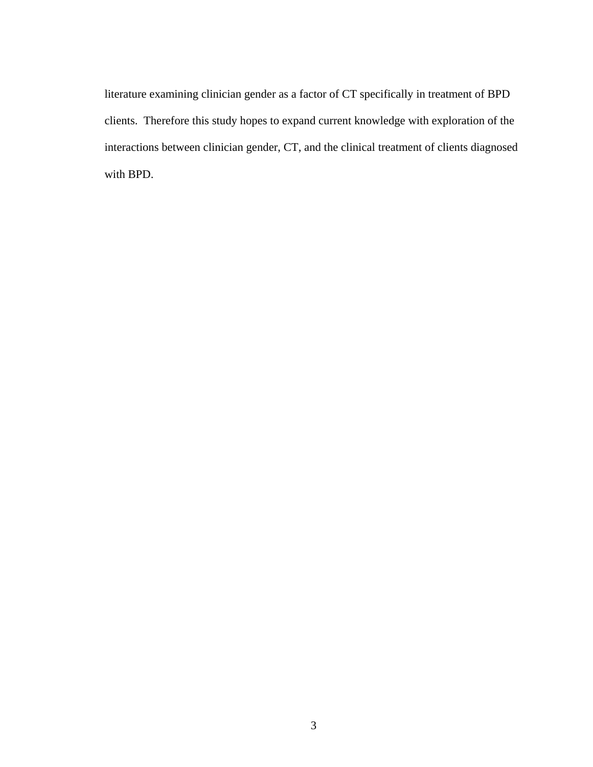literature examining clinician gender as a factor of CT specifically in treatment of BPD clients. Therefore this study hopes to expand current knowledge with exploration of the interactions between clinician gender, CT, and the clinical treatment of clients diagnosed with BPD.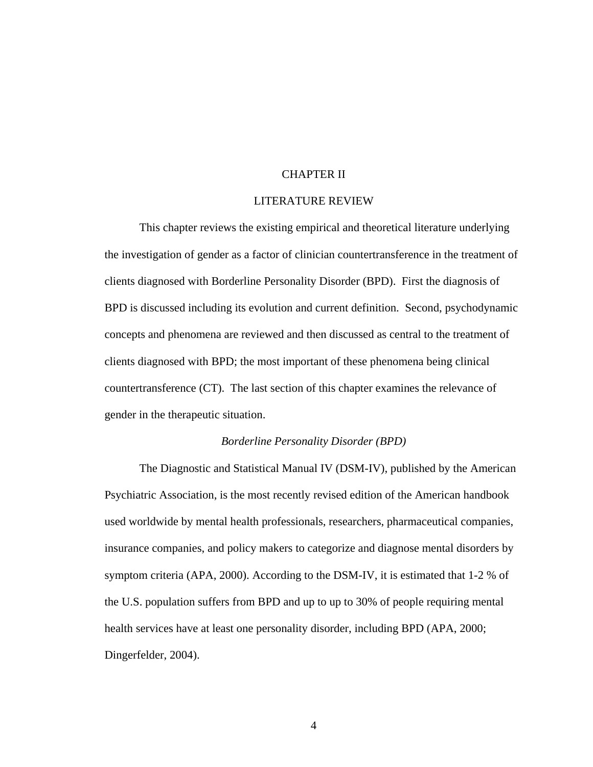#### CHAPTER II

#### LITERATURE REVIEW

This chapter reviews the existing empirical and theoretical literature underlying the investigation of gender as a factor of clinician countertransference in the treatment of clients diagnosed with Borderline Personality Disorder (BPD). First the diagnosis of BPD is discussed including its evolution and current definition. Second, psychodynamic concepts and phenomena are reviewed and then discussed as central to the treatment of clients diagnosed with BPD; the most important of these phenomena being clinical countertransference (CT). The last section of this chapter examines the relevance of gender in the therapeutic situation.

# *Borderline Personality Disorder (BPD)*

The Diagnostic and Statistical Manual IV (DSM-IV), published by the American Psychiatric Association, is the most recently revised edition of the American handbook used worldwide by mental health professionals, researchers, pharmaceutical companies, insurance companies, and policy makers to categorize and diagnose mental disorders by symptom criteria (APA, 2000). According to the DSM-IV, it is estimated that 1-2 % of the U.S. population suffers from BPD and up to up to 30% of people requiring mental health services have at least one personality disorder, including BPD (APA, 2000; Dingerfelder, 2004).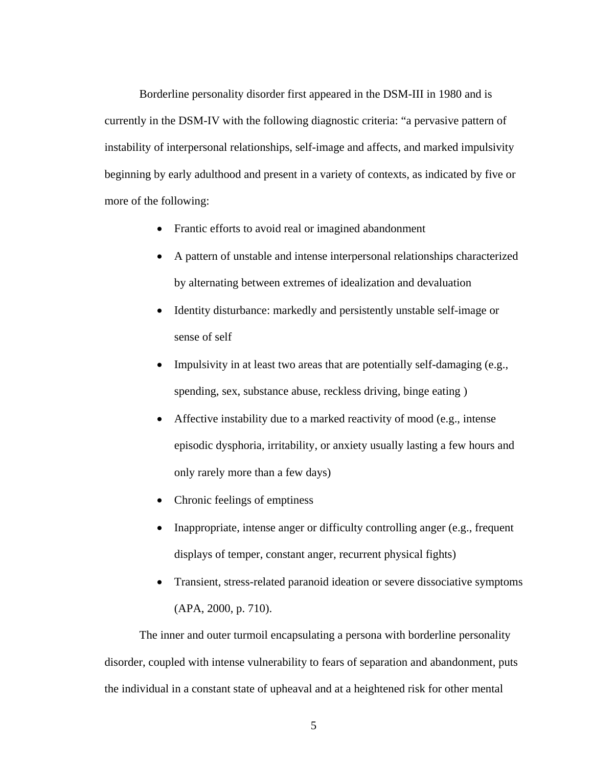Borderline personality disorder first appeared in the DSM-III in 1980 and is currently in the DSM-IV with the following diagnostic criteria: "a pervasive pattern of instability of interpersonal relationships, self-image and affects, and marked impulsivity beginning by early adulthood and present in a variety of contexts, as indicated by five or more of the following:

- Frantic efforts to avoid real or imagined abandonment
- A pattern of unstable and intense interpersonal relationships characterized by alternating between extremes of idealization and devaluation
- Identity disturbance: markedly and persistently unstable self-image or sense of self
- Impulsivity in at least two areas that are potentially self-damaging (e.g., spending, sex, substance abuse, reckless driving, binge eating )
- Affective instability due to a marked reactivity of mood (e.g., intense episodic dysphoria, irritability, or anxiety usually lasting a few hours and only rarely more than a few days)
- Chronic feelings of emptiness
- Inappropriate, intense anger or difficulty controlling anger (e.g., frequent displays of temper, constant anger, recurrent physical fights)
- Transient, stress-related paranoid ideation or severe dissociative symptoms (APA, 2000, p. 710).

The inner and outer turmoil encapsulating a persona with borderline personality disorder, coupled with intense vulnerability to fears of separation and abandonment, puts the individual in a constant state of upheaval and at a heightened risk for other mental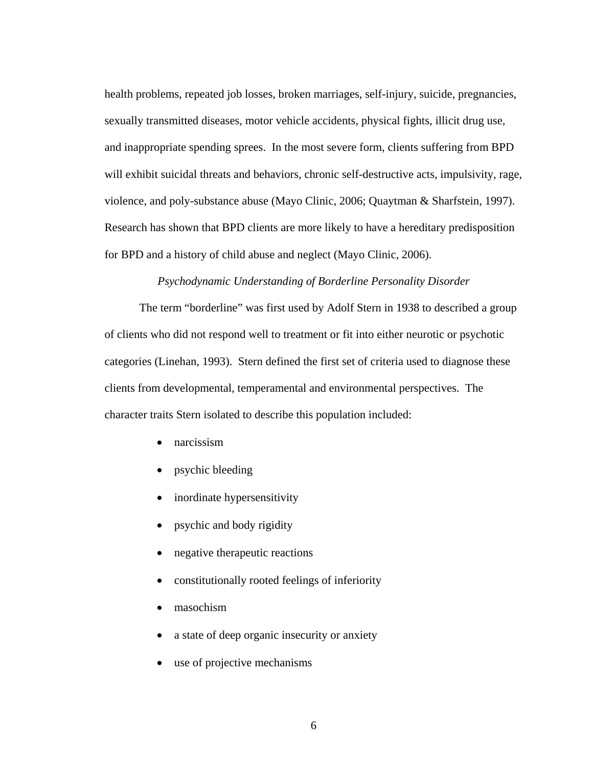health problems, repeated job losses, broken marriages, self-injury, suicide, pregnancies, sexually transmitted diseases, motor vehicle accidents, physical fights, illicit drug use, and inappropriate spending sprees. In the most severe form, clients suffering from BPD will exhibit suicidal threats and behaviors, chronic self-destructive acts, impulsivity, rage, violence, and poly-substance abuse (Mayo Clinic, 2006; Quaytman & Sharfstein, 1997). Research has shown that BPD clients are more likely to have a hereditary predisposition for BPD and a history of child abuse and neglect (Mayo Clinic, 2006).

#### *Psychodynamic Understanding of Borderline Personality Disorder*

The term "borderline" was first used by Adolf Stern in 1938 to described a group of clients who did not respond well to treatment or fit into either neurotic or psychotic categories (Linehan, 1993). Stern defined the first set of criteria used to diagnose these clients from developmental, temperamental and environmental perspectives. The character traits Stern isolated to describe this population included:

- narcissism
- psychic bleeding
- inordinate hypersensitivity
- psychic and body rigidity
- negative therapeutic reactions
- constitutionally rooted feelings of inferiority
- masochism
- a state of deep organic insecurity or anxiety
- use of projective mechanisms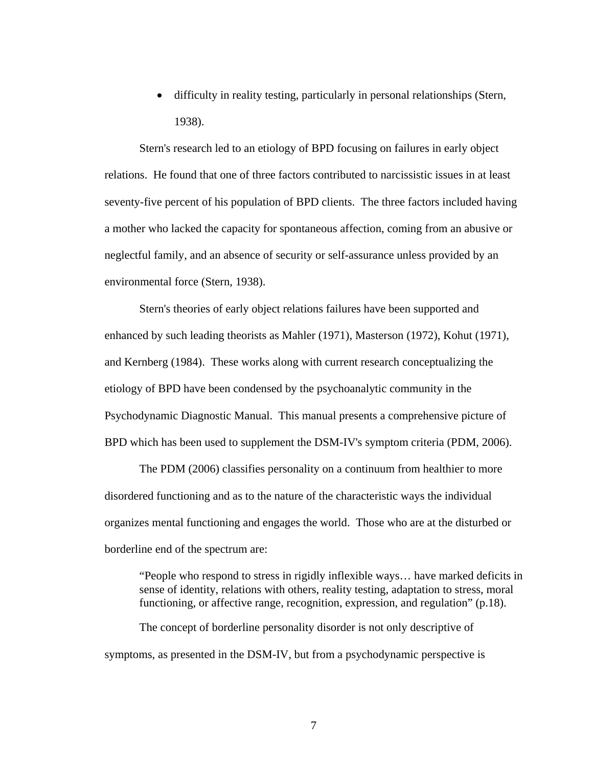• difficulty in reality testing, particularly in personal relationships (Stern, 1938).

Stern's research led to an etiology of BPD focusing on failures in early object relations. He found that one of three factors contributed to narcissistic issues in at least seventy-five percent of his population of BPD clients. The three factors included having a mother who lacked the capacity for spontaneous affection, coming from an abusive or neglectful family, and an absence of security or self-assurance unless provided by an environmental force (Stern, 1938).

Stern's theories of early object relations failures have been supported and enhanced by such leading theorists as Mahler (1971), Masterson (1972), Kohut (1971), and Kernberg (1984). These works along with current research conceptualizing the etiology of BPD have been condensed by the psychoanalytic community in the Psychodynamic Diagnostic Manual. This manual presents a comprehensive picture of BPD which has been used to supplement the DSM-IV's symptom criteria (PDM, 2006).

The PDM (2006) classifies personality on a continuum from healthier to more disordered functioning and as to the nature of the characteristic ways the individual organizes mental functioning and engages the world. Those who are at the disturbed or borderline end of the spectrum are:

"People who respond to stress in rigidly inflexible ways… have marked deficits in sense of identity, relations with others, reality testing, adaptation to stress, moral functioning, or affective range, recognition, expression, and regulation" (p.18).

The concept of borderline personality disorder is not only descriptive of symptoms, as presented in the DSM-IV, but from a psychodynamic perspective is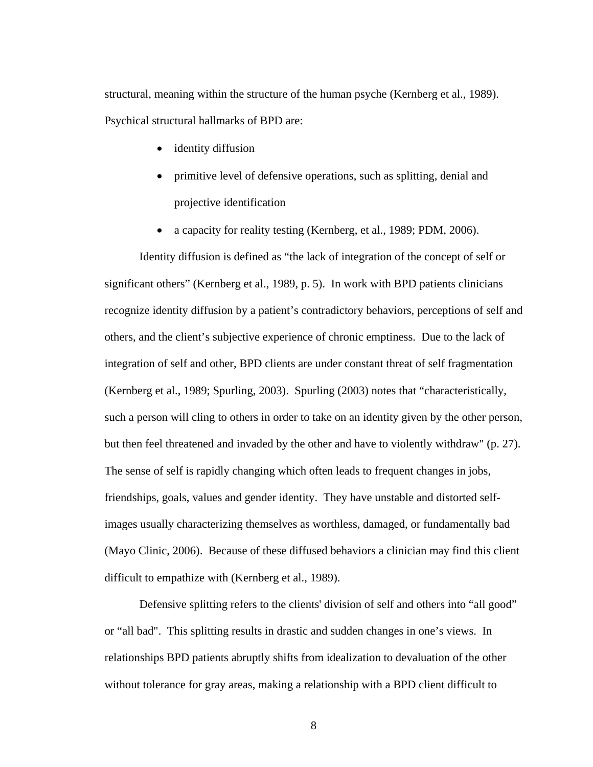structural, meaning within the structure of the human psyche (Kernberg et al., 1989). Psychical structural hallmarks of BPD are:

- identity diffusion
- primitive level of defensive operations, such as splitting, denial and projective identification
- a capacity for reality testing (Kernberg, et al., 1989; PDM, 2006).

Identity diffusion is defined as "the lack of integration of the concept of self or significant others" (Kernberg et al., 1989, p. 5). In work with BPD patients clinicians recognize identity diffusion by a patient's contradictory behaviors, perceptions of self and others, and the client's subjective experience of chronic emptiness. Due to the lack of integration of self and other, BPD clients are under constant threat of self fragmentation (Kernberg et al., 1989; Spurling, 2003). Spurling (2003) notes that "characteristically, such a person will cling to others in order to take on an identity given by the other person, but then feel threatened and invaded by the other and have to violently withdraw" (p. 27). The sense of self is rapidly changing which often leads to frequent changes in jobs, friendships, goals, values and gender identity. They have unstable and distorted selfimages usually characterizing themselves as worthless, damaged, or fundamentally bad (Mayo Clinic, 2006). Because of these diffused behaviors a clinician may find this client difficult to empathize with (Kernberg et al., 1989).

Defensive splitting refers to the clients' division of self and others into "all good" or "all bad". This splitting results in drastic and sudden changes in one's views. In relationships BPD patients abruptly shifts from idealization to devaluation of the other without tolerance for gray areas, making a relationship with a BPD client difficult to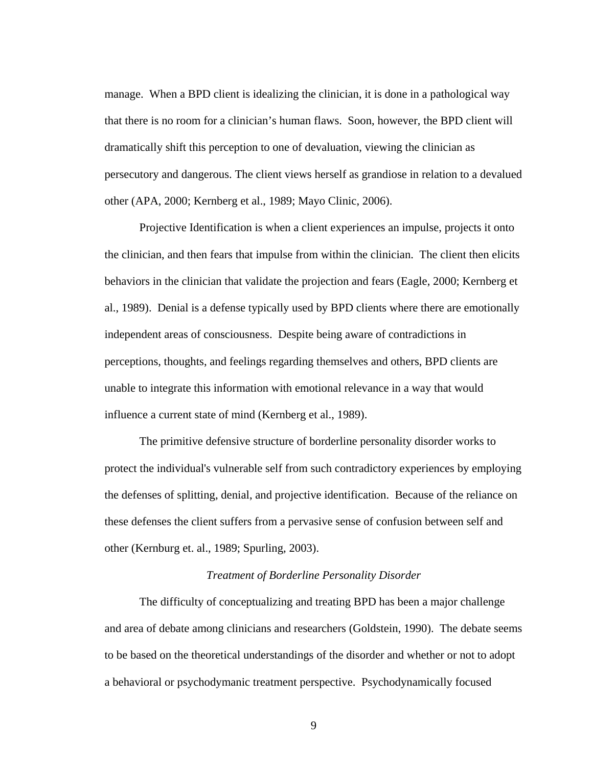manage. When a BPD client is idealizing the clinician, it is done in a pathological way that there is no room for a clinician's human flaws. Soon, however, the BPD client will dramatically shift this perception to one of devaluation, viewing the clinician as persecutory and dangerous. The client views herself as grandiose in relation to a devalued other (APA, 2000; Kernberg et al., 1989; Mayo Clinic, 2006).

Projective Identification is when a client experiences an impulse, projects it onto the clinician, and then fears that impulse from within the clinician. The client then elicits behaviors in the clinician that validate the projection and fears (Eagle, 2000; Kernberg et al., 1989). Denial is a defense typically used by BPD clients where there are emotionally independent areas of consciousness. Despite being aware of contradictions in perceptions, thoughts, and feelings regarding themselves and others, BPD clients are unable to integrate this information with emotional relevance in a way that would influence a current state of mind (Kernberg et al., 1989).

The primitive defensive structure of borderline personality disorder works to protect the individual's vulnerable self from such contradictory experiences by employing the defenses of splitting, denial, and projective identification. Because of the reliance on these defenses the client suffers from a pervasive sense of confusion between self and other (Kernburg et. al., 1989; Spurling, 2003).

# *Treatment of Borderline Personality Disorder*

The difficulty of conceptualizing and treating BPD has been a major challenge and area of debate among clinicians and researchers (Goldstein, 1990). The debate seems to be based on the theoretical understandings of the disorder and whether or not to adopt a behavioral or psychodymanic treatment perspective. Psychodynamically focused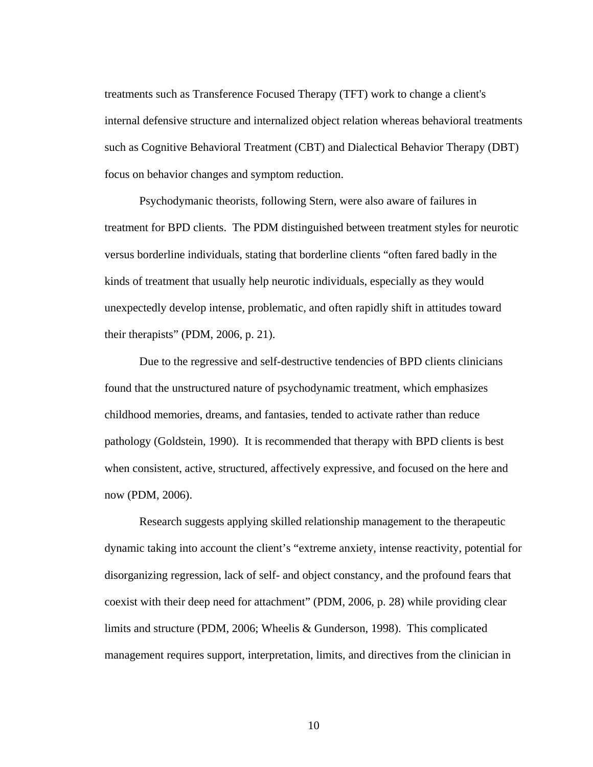treatments such as Transference Focused Therapy (TFT) work to change a client's internal defensive structure and internalized object relation whereas behavioral treatments such as Cognitive Behavioral Treatment (CBT) and Dialectical Behavior Therapy (DBT) focus on behavior changes and symptom reduction.

Psychodymanic theorists, following Stern, were also aware of failures in treatment for BPD clients. The PDM distinguished between treatment styles for neurotic versus borderline individuals, stating that borderline clients "often fared badly in the kinds of treatment that usually help neurotic individuals, especially as they would unexpectedly develop intense, problematic, and often rapidly shift in attitudes toward their therapists" (PDM, 2006, p. 21).

Due to the regressive and self-destructive tendencies of BPD clients clinicians found that the unstructured nature of psychodynamic treatment, which emphasizes childhood memories, dreams, and fantasies, tended to activate rather than reduce pathology (Goldstein, 1990). It is recommended that therapy with BPD clients is best when consistent, active, structured, affectively expressive, and focused on the here and now (PDM, 2006).

Research suggests applying skilled relationship management to the therapeutic dynamic taking into account the client's "extreme anxiety, intense reactivity, potential for disorganizing regression, lack of self- and object constancy, and the profound fears that coexist with their deep need for attachment" (PDM, 2006, p. 28) while providing clear limits and structure (PDM, 2006; Wheelis & Gunderson, 1998). This complicated management requires support, interpretation, limits, and directives from the clinician in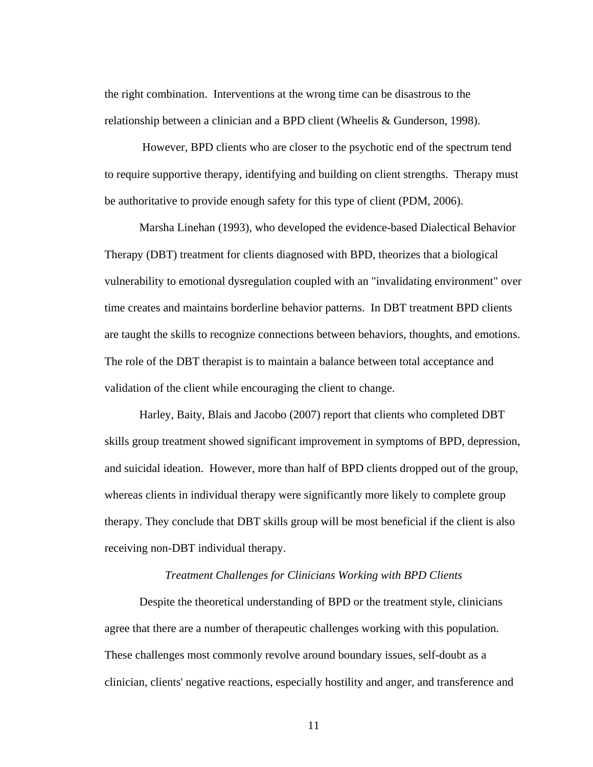the right combination. Interventions at the wrong time can be disastrous to the relationship between a clinician and a BPD client (Wheelis & Gunderson, 1998).

 However, BPD clients who are closer to the psychotic end of the spectrum tend to require supportive therapy, identifying and building on client strengths. Therapy must be authoritative to provide enough safety for this type of client (PDM, 2006).

Marsha Linehan (1993), who developed the evidence-based Dialectical Behavior Therapy (DBT) treatment for clients diagnosed with BPD, theorizes that a biological vulnerability to emotional dysregulation coupled with an "invalidating environment" over time creates and maintains borderline behavior patterns. In DBT treatment BPD clients are taught the skills to recognize connections between behaviors, thoughts, and emotions. The role of the DBT therapist is to maintain a balance between total acceptance and validation of the client while encouraging the client to change.

Harley, Baity, Blais and Jacobo (2007) report that clients who completed DBT skills group treatment showed significant improvement in symptoms of BPD, depression, and suicidal ideation. However, more than half of BPD clients dropped out of the group, whereas clients in individual therapy were significantly more likely to complete group therapy. They conclude that DBT skills group will be most beneficial if the client is also receiving non-DBT individual therapy.

# *Treatment Challenges for Clinicians Working with BPD Clients*

Despite the theoretical understanding of BPD or the treatment style, clinicians agree that there are a number of therapeutic challenges working with this population. These challenges most commonly revolve around boundary issues, self-doubt as a clinician, clients' negative reactions, especially hostility and anger, and transference and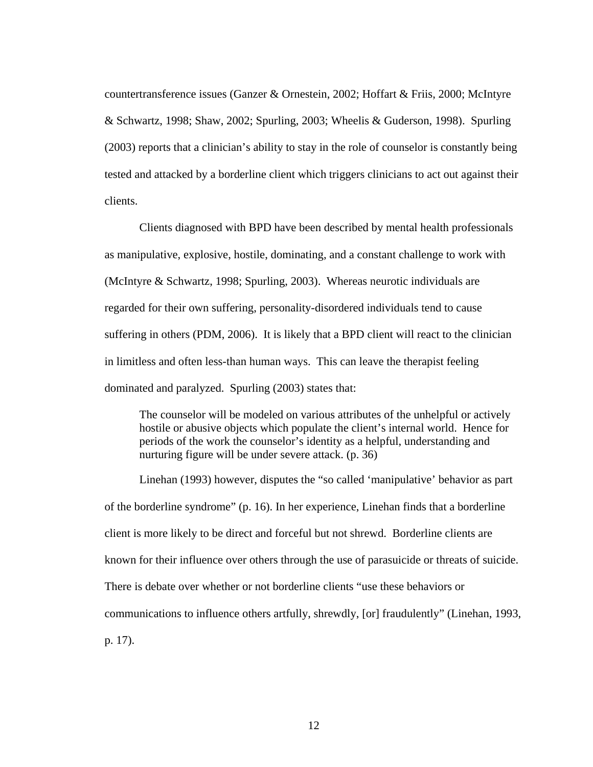countertransference issues (Ganzer & Ornestein, 2002; Hoffart & Friis, 2000; McIntyre & Schwartz, 1998; Shaw, 2002; Spurling, 2003; Wheelis & Guderson, 1998). Spurling (2003) reports that a clinician's ability to stay in the role of counselor is constantly being tested and attacked by a borderline client which triggers clinicians to act out against their clients.

Clients diagnosed with BPD have been described by mental health professionals as manipulative, explosive, hostile, dominating, and a constant challenge to work with (McIntyre & Schwartz, 1998; Spurling, 2003). Whereas neurotic individuals are regarded for their own suffering, personality-disordered individuals tend to cause suffering in others (PDM, 2006). It is likely that a BPD client will react to the clinician in limitless and often less-than human ways. This can leave the therapist feeling dominated and paralyzed. Spurling (2003) states that:

The counselor will be modeled on various attributes of the unhelpful or actively hostile or abusive objects which populate the client's internal world. Hence for periods of the work the counselor's identity as a helpful, understanding and nurturing figure will be under severe attack. (p. 36)

Linehan (1993) however, disputes the "so called 'manipulative' behavior as part of the borderline syndrome" (p. 16). In her experience, Linehan finds that a borderline client is more likely to be direct and forceful but not shrewd. Borderline clients are known for their influence over others through the use of parasuicide or threats of suicide. There is debate over whether or not borderline clients "use these behaviors or communications to influence others artfully, shrewdly, [or] fraudulently" (Linehan, 1993, p. 17).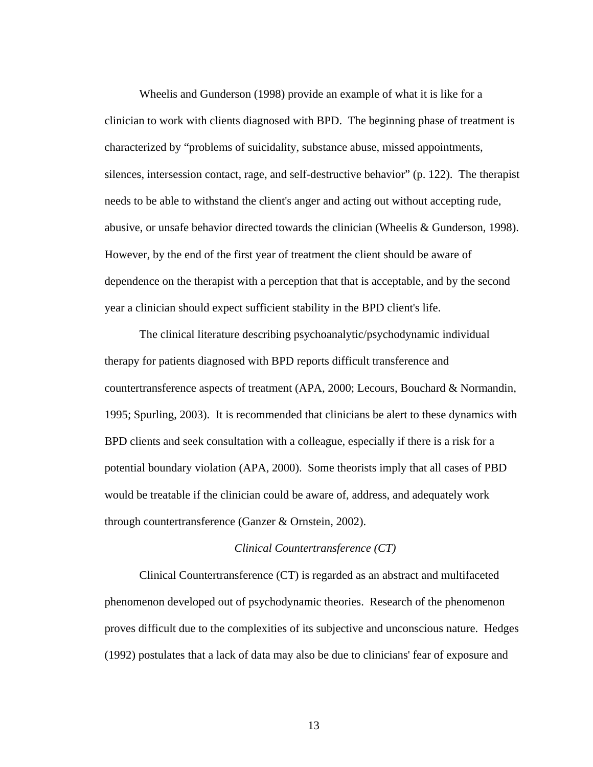Wheelis and Gunderson (1998) provide an example of what it is like for a clinician to work with clients diagnosed with BPD. The beginning phase of treatment is characterized by "problems of suicidality, substance abuse, missed appointments, silences, intersession contact, rage, and self-destructive behavior" (p. 122). The therapist needs to be able to withstand the client's anger and acting out without accepting rude, abusive, or unsafe behavior directed towards the clinician (Wheelis & Gunderson, 1998). However, by the end of the first year of treatment the client should be aware of dependence on the therapist with a perception that that is acceptable, and by the second year a clinician should expect sufficient stability in the BPD client's life.

The clinical literature describing psychoanalytic/psychodynamic individual therapy for patients diagnosed with BPD reports difficult transference and countertransference aspects of treatment (APA, 2000; Lecours, Bouchard & Normandin, 1995; Spurling, 2003). It is recommended that clinicians be alert to these dynamics with BPD clients and seek consultation with a colleague, especially if there is a risk for a potential boundary violation (APA, 2000). Some theorists imply that all cases of PBD would be treatable if the clinician could be aware of, address, and adequately work through countertransference (Ganzer & Ornstein, 2002).

# *Clinical Countertransference (CT)*

Clinical Countertransference (CT) is regarded as an abstract and multifaceted phenomenon developed out of psychodynamic theories. Research of the phenomenon proves difficult due to the complexities of its subjective and unconscious nature. Hedges (1992) postulates that a lack of data may also be due to clinicians' fear of exposure and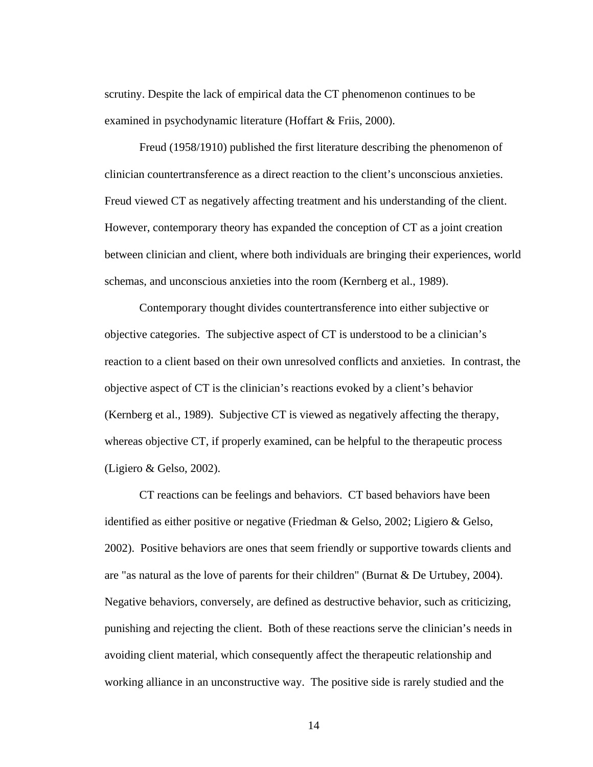scrutiny. Despite the lack of empirical data the CT phenomenon continues to be examined in psychodynamic literature (Hoffart & Friis, 2000).

Freud (1958/1910) published the first literature describing the phenomenon of clinician countertransference as a direct reaction to the client's unconscious anxieties. Freud viewed CT as negatively affecting treatment and his understanding of the client. However, contemporary theory has expanded the conception of CT as a joint creation between clinician and client, where both individuals are bringing their experiences, world schemas, and unconscious anxieties into the room (Kernberg et al., 1989).

Contemporary thought divides countertransference into either subjective or objective categories. The subjective aspect of CT is understood to be a clinician's reaction to a client based on their own unresolved conflicts and anxieties. In contrast, the objective aspect of CT is the clinician's reactions evoked by a client's behavior (Kernberg et al., 1989). Subjective CT is viewed as negatively affecting the therapy, whereas objective CT, if properly examined, can be helpful to the therapeutic process (Ligiero & Gelso, 2002).

CT reactions can be feelings and behaviors. CT based behaviors have been identified as either positive or negative (Friedman & Gelso, 2002; Ligiero & Gelso, 2002). Positive behaviors are ones that seem friendly or supportive towards clients and are "as natural as the love of parents for their children" (Burnat & De Urtubey, 2004). Negative behaviors, conversely, are defined as destructive behavior, such as criticizing, punishing and rejecting the client. Both of these reactions serve the clinician's needs in avoiding client material, which consequently affect the therapeutic relationship and working alliance in an unconstructive way. The positive side is rarely studied and the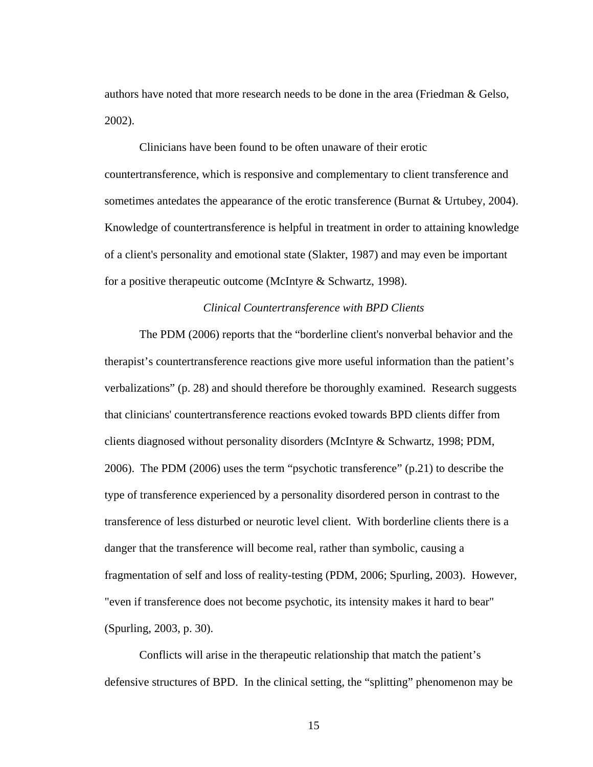authors have noted that more research needs to be done in the area (Friedman & Gelso, 2002).

Clinicians have been found to be often unaware of their erotic countertransference, which is responsive and complementary to client transference and sometimes antedates the appearance of the erotic transference (Burnat & Urtubey, 2004). Knowledge of countertransference is helpful in treatment in order to attaining knowledge of a client's personality and emotional state (Slakter, 1987) and may even be important for a positive therapeutic outcome (McIntyre & Schwartz, 1998).

#### *Clinical Countertransference with BPD Clients*

The PDM (2006) reports that the "borderline client's nonverbal behavior and the therapist's countertransference reactions give more useful information than the patient's verbalizations" (p. 28) and should therefore be thoroughly examined. Research suggests that clinicians' countertransference reactions evoked towards BPD clients differ from clients diagnosed without personality disorders (McIntyre & Schwartz, 1998; PDM, 2006). The PDM (2006) uses the term "psychotic transference" (p.21) to describe the type of transference experienced by a personality disordered person in contrast to the transference of less disturbed or neurotic level client. With borderline clients there is a danger that the transference will become real, rather than symbolic, causing a fragmentation of self and loss of reality-testing (PDM, 2006; Spurling, 2003). However, "even if transference does not become psychotic, its intensity makes it hard to bear" (Spurling, 2003, p. 30).

Conflicts will arise in the therapeutic relationship that match the patient's defensive structures of BPD. In the clinical setting, the "splitting" phenomenon may be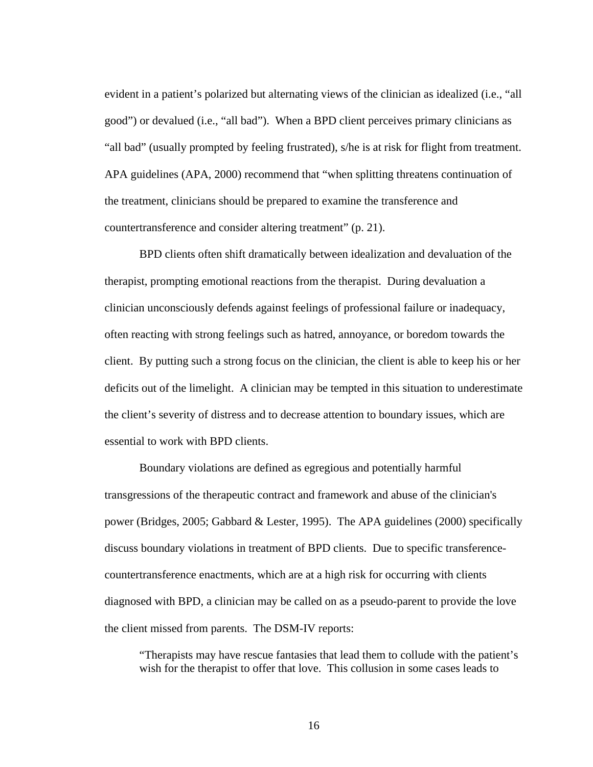evident in a patient's polarized but alternating views of the clinician as idealized (i.e., "all good") or devalued (i.e., "all bad"). When a BPD client perceives primary clinicians as "all bad" (usually prompted by feeling frustrated), s/he is at risk for flight from treatment. APA guidelines (APA, 2000) recommend that "when splitting threatens continuation of the treatment, clinicians should be prepared to examine the transference and countertransference and consider altering treatment" (p. 21).

BPD clients often shift dramatically between idealization and devaluation of the therapist, prompting emotional reactions from the therapist. During devaluation a clinician unconsciously defends against feelings of professional failure or inadequacy, often reacting with strong feelings such as hatred, annoyance, or boredom towards the client. By putting such a strong focus on the clinician, the client is able to keep his or her deficits out of the limelight. A clinician may be tempted in this situation to underestimate the client's severity of distress and to decrease attention to boundary issues, which are essential to work with BPD clients.

Boundary violations are defined as egregious and potentially harmful transgressions of the therapeutic contract and framework and abuse of the clinician's power (Bridges, 2005; Gabbard & Lester, 1995). The APA guidelines (2000) specifically discuss boundary violations in treatment of BPD clients. Due to specific transferencecountertransference enactments, which are at a high risk for occurring with clients diagnosed with BPD, a clinician may be called on as a pseudo-parent to provide the love the client missed from parents. The DSM-IV reports:

"Therapists may have rescue fantasies that lead them to collude with the patient's wish for the therapist to offer that love. This collusion in some cases leads to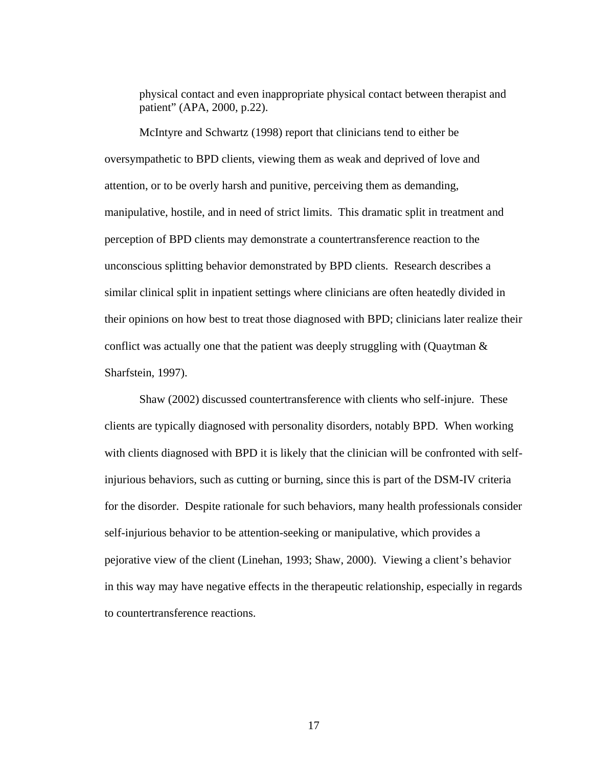physical contact and even inappropriate physical contact between therapist and patient" (APA, 2000, p.22).

McIntyre and Schwartz (1998) report that clinicians tend to either be oversympathetic to BPD clients, viewing them as weak and deprived of love and attention, or to be overly harsh and punitive, perceiving them as demanding, manipulative, hostile, and in need of strict limits. This dramatic split in treatment and perception of BPD clients may demonstrate a countertransference reaction to the unconscious splitting behavior demonstrated by BPD clients. Research describes a similar clinical split in inpatient settings where clinicians are often heatedly divided in their opinions on how best to treat those diagnosed with BPD; clinicians later realize their conflict was actually one that the patient was deeply struggling with (Quaytman  $\&$ Sharfstein, 1997).

Shaw (2002) discussed countertransference with clients who self-injure. These clients are typically diagnosed with personality disorders, notably BPD. When working with clients diagnosed with BPD it is likely that the clinician will be confronted with selfinjurious behaviors, such as cutting or burning, since this is part of the DSM-IV criteria for the disorder. Despite rationale for such behaviors, many health professionals consider self-injurious behavior to be attention-seeking or manipulative, which provides a pejorative view of the client (Linehan, 1993; Shaw, 2000). Viewing a client's behavior in this way may have negative effects in the therapeutic relationship, especially in regards to countertransference reactions.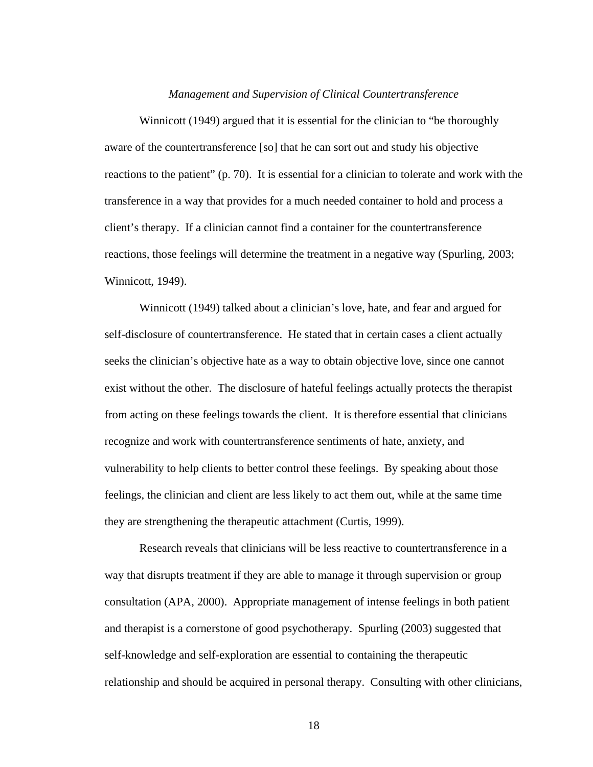#### *Management and Supervision of Clinical Countertransference*

Winnicott (1949) argued that it is essential for the clinician to "be thoroughly aware of the countertransference [so] that he can sort out and study his objective reactions to the patient" (p. 70). It is essential for a clinician to tolerate and work with the transference in a way that provides for a much needed container to hold and process a client's therapy. If a clinician cannot find a container for the countertransference reactions, those feelings will determine the treatment in a negative way (Spurling, 2003; Winnicott, 1949).

Winnicott (1949) talked about a clinician's love, hate, and fear and argued for self-disclosure of countertransference. He stated that in certain cases a client actually seeks the clinician's objective hate as a way to obtain objective love, since one cannot exist without the other. The disclosure of hateful feelings actually protects the therapist from acting on these feelings towards the client. It is therefore essential that clinicians recognize and work with countertransference sentiments of hate, anxiety, and vulnerability to help clients to better control these feelings. By speaking about those feelings, the clinician and client are less likely to act them out, while at the same time they are strengthening the therapeutic attachment (Curtis, 1999).

Research reveals that clinicians will be less reactive to countertransference in a way that disrupts treatment if they are able to manage it through supervision or group consultation (APA, 2000). Appropriate management of intense feelings in both patient and therapist is a cornerstone of good psychotherapy. Spurling (2003) suggested that self-knowledge and self-exploration are essential to containing the therapeutic relationship and should be acquired in personal therapy. Consulting with other clinicians,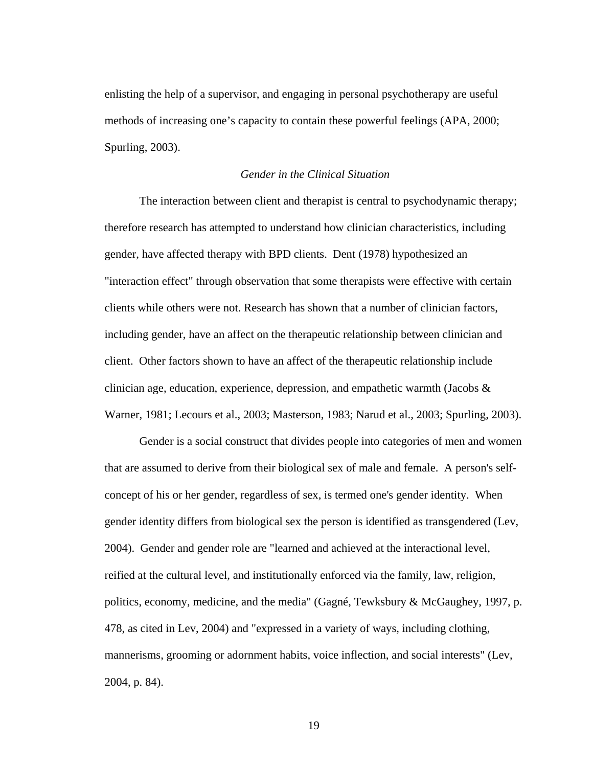enlisting the help of a supervisor, and engaging in personal psychotherapy are useful methods of increasing one's capacity to contain these powerful feelings (APA, 2000; Spurling, 2003).

# *Gender in the Clinical Situation*

The interaction between client and therapist is central to psychodynamic therapy; therefore research has attempted to understand how clinician characteristics, including gender, have affected therapy with BPD clients. Dent (1978) hypothesized an "interaction effect" through observation that some therapists were effective with certain clients while others were not. Research has shown that a number of clinician factors, including gender, have an affect on the therapeutic relationship between clinician and client. Other factors shown to have an affect of the therapeutic relationship include clinician age, education, experience, depression, and empathetic warmth (Jacobs  $\&$ Warner, 1981; Lecours et al., 2003; Masterson, 1983; Narud et al., 2003; Spurling, 2003).

Gender is a social construct that divides people into categories of men and women that are assumed to derive from their biological sex of male and female. A person's selfconcept of his or her gender, regardless of sex, is termed one's gender identity. When gender identity differs from biological sex the person is identified as transgendered (Lev, 2004). Gender and gender role are "learned and achieved at the interactional level, reified at the cultural level, and institutionally enforced via the family, law, religion, politics, economy, medicine, and the media" (Gagné, Tewksbury & McGaughey, 1997, p. 478, as cited in Lev, 2004) and "expressed in a variety of ways, including clothing, mannerisms, grooming or adornment habits, voice inflection, and social interests" (Lev, 2004, p. 84).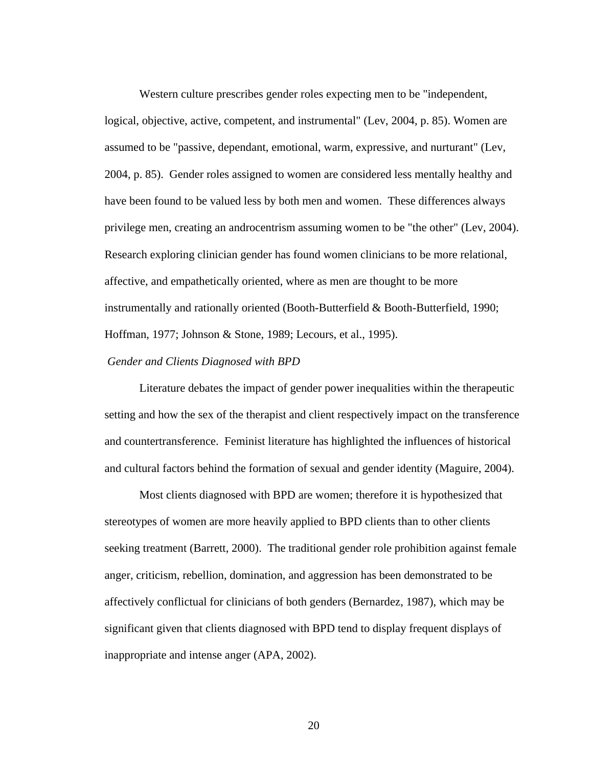Western culture prescribes gender roles expecting men to be "independent, logical, objective, active, competent, and instrumental" (Lev, 2004, p. 85). Women are assumed to be "passive, dependant, emotional, warm, expressive, and nurturant" (Lev, 2004, p. 85). Gender roles assigned to women are considered less mentally healthy and have been found to be valued less by both men and women. These differences always privilege men, creating an androcentrism assuming women to be "the other" (Lev, 2004). Research exploring clinician gender has found women clinicians to be more relational, affective, and empathetically oriented, where as men are thought to be more instrumentally and rationally oriented (Booth-Butterfield & Booth-Butterfield, 1990; Hoffman, 1977; Johnson & Stone, 1989; Lecours, et al., 1995).

# *Gender and Clients Diagnosed with BPD*

Literature debates the impact of gender power inequalities within the therapeutic setting and how the sex of the therapist and client respectively impact on the transference and countertransference. Feminist literature has highlighted the influences of historical and cultural factors behind the formation of sexual and gender identity (Maguire, 2004).

Most clients diagnosed with BPD are women; therefore it is hypothesized that stereotypes of women are more heavily applied to BPD clients than to other clients seeking treatment (Barrett, 2000). The traditional gender role prohibition against female anger, criticism, rebellion, domination, and aggression has been demonstrated to be affectively conflictual for clinicians of both genders (Bernardez, 1987), which may be significant given that clients diagnosed with BPD tend to display frequent displays of inappropriate and intense anger (APA, 2002).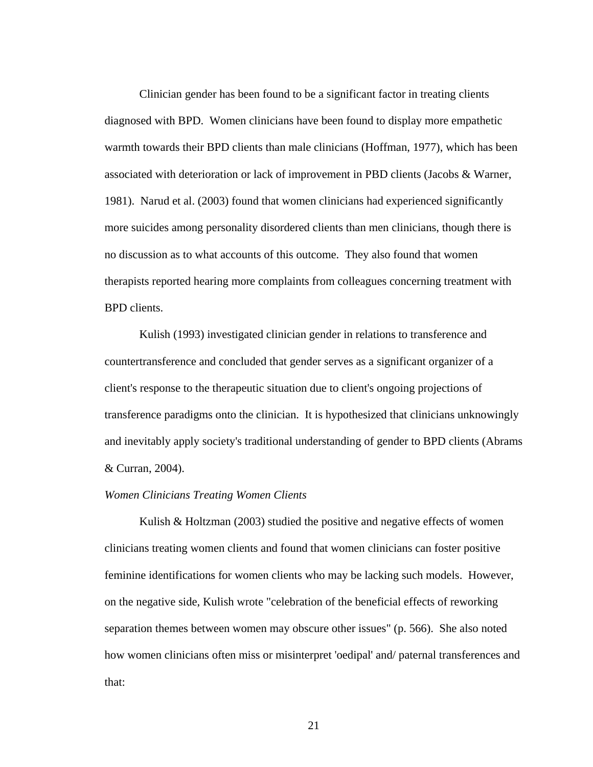Clinician gender has been found to be a significant factor in treating clients diagnosed with BPD. Women clinicians have been found to display more empathetic warmth towards their BPD clients than male clinicians (Hoffman, 1977), which has been associated with deterioration or lack of improvement in PBD clients (Jacobs & Warner, 1981). Narud et al. (2003) found that women clinicians had experienced significantly more suicides among personality disordered clients than men clinicians, though there is no discussion as to what accounts of this outcome. They also found that women therapists reported hearing more complaints from colleagues concerning treatment with BPD clients.

Kulish (1993) investigated clinician gender in relations to transference and countertransference and concluded that gender serves as a significant organizer of a client's response to the therapeutic situation due to client's ongoing projections of transference paradigms onto the clinician. It is hypothesized that clinicians unknowingly and inevitably apply society's traditional understanding of gender to BPD clients (Abrams & Curran, 2004).

#### *Women Clinicians Treating Women Clients*

Kulish & Holtzman (2003) studied the positive and negative effects of women clinicians treating women clients and found that women clinicians can foster positive feminine identifications for women clients who may be lacking such models. However, on the negative side, Kulish wrote "celebration of the beneficial effects of reworking separation themes between women may obscure other issues" (p. 566). She also noted how women clinicians often miss or misinterpret 'oedipal' and/ paternal transferences and that: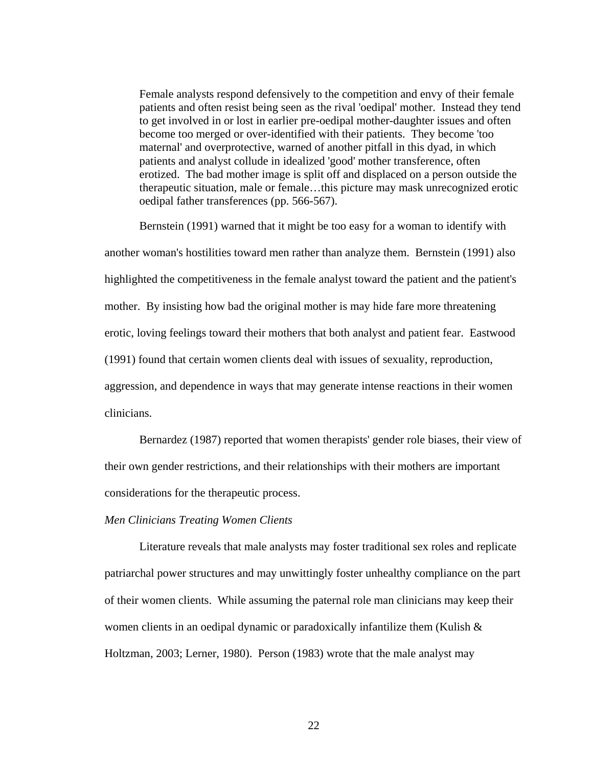Female analysts respond defensively to the competition and envy of their female patients and often resist being seen as the rival 'oedipal' mother. Instead they tend to get involved in or lost in earlier pre-oedipal mother-daughter issues and often become too merged or over-identified with their patients. They become 'too maternal' and overprotective, warned of another pitfall in this dyad, in which patients and analyst collude in idealized 'good' mother transference, often erotized. The bad mother image is split off and displaced on a person outside the therapeutic situation, male or female…this picture may mask unrecognized erotic oedipal father transferences (pp. 566-567).

Bernstein (1991) warned that it might be too easy for a woman to identify with another woman's hostilities toward men rather than analyze them. Bernstein (1991) also highlighted the competitiveness in the female analyst toward the patient and the patient's mother. By insisting how bad the original mother is may hide fare more threatening erotic, loving feelings toward their mothers that both analyst and patient fear. Eastwood (1991) found that certain women clients deal with issues of sexuality, reproduction, aggression, and dependence in ways that may generate intense reactions in their women clinicians.

Bernardez (1987) reported that women therapists' gender role biases, their view of their own gender restrictions, and their relationships with their mothers are important considerations for the therapeutic process.

#### *Men Clinicians Treating Women Clients*

Literature reveals that male analysts may foster traditional sex roles and replicate patriarchal power structures and may unwittingly foster unhealthy compliance on the part of their women clients. While assuming the paternal role man clinicians may keep their women clients in an oedipal dynamic or paradoxically infantilize them (Kulish  $\&$ Holtzman, 2003; Lerner, 1980). Person (1983) wrote that the male analyst may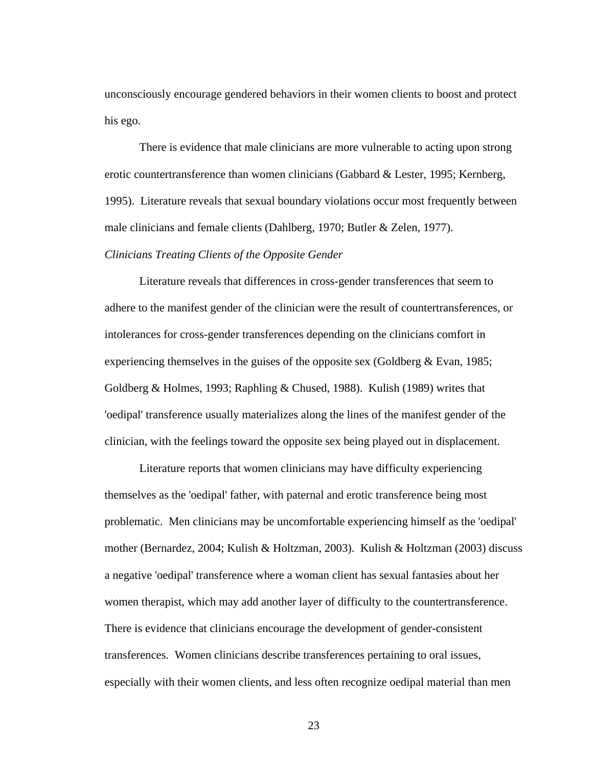unconsciously encourage gendered behaviors in their women clients to boost and protect his ego.

There is evidence that male clinicians are more vulnerable to acting upon strong erotic countertransference than women clinicians (Gabbard & Lester, 1995; Kernberg, 1995). Literature reveals that sexual boundary violations occur most frequently between male clinicians and female clients (Dahlberg, 1970; Butler & Zelen, 1977). *Clinicians Treating Clients of the Opposite Gender* 

Literature reveals that differences in cross-gender transferences that seem to adhere to the manifest gender of the clinician were the result of countertransferences, or intolerances for cross-gender transferences depending on the clinicians comfort in experiencing themselves in the guises of the opposite sex (Goldberg & Evan, 1985; Goldberg & Holmes, 1993; Raphling & Chused, 1988). Kulish (1989) writes that 'oedipal' transference usually materializes along the lines of the manifest gender of the clinician, with the feelings toward the opposite sex being played out in displacement.

Literature reports that women clinicians may have difficulty experiencing themselves as the 'oedipal' father, with paternal and erotic transference being most problematic. Men clinicians may be uncomfortable experiencing himself as the 'oedipal' mother (Bernardez, 2004; Kulish & Holtzman, 2003). Kulish & Holtzman (2003) discuss a negative 'oedipal' transference where a woman client has sexual fantasies about her women therapist, which may add another layer of difficulty to the countertransference. There is evidence that clinicians encourage the development of gender-consistent transferences. Women clinicians describe transferences pertaining to oral issues, especially with their women clients, and less often recognize oedipal material than men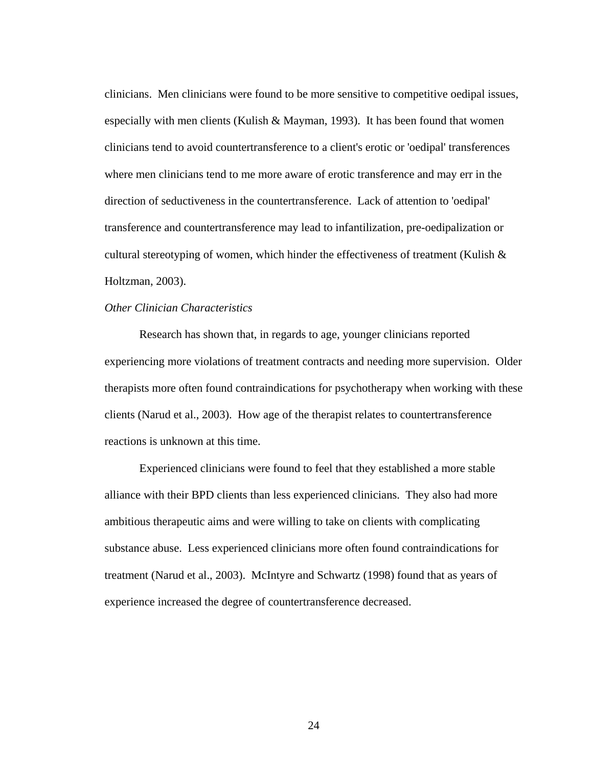clinicians. Men clinicians were found to be more sensitive to competitive oedipal issues, especially with men clients (Kulish  $&$  Mayman, 1993). It has been found that women clinicians tend to avoid countertransference to a client's erotic or 'oedipal' transferences where men clinicians tend to me more aware of erotic transference and may err in the direction of seductiveness in the countertransference. Lack of attention to 'oedipal' transference and countertransference may lead to infantilization, pre-oedipalization or cultural stereotyping of women, which hinder the effectiveness of treatment (Kulish & Holtzman, 2003).

#### *Other Clinician Characteristics*

Research has shown that, in regards to age, younger clinicians reported experiencing more violations of treatment contracts and needing more supervision. Older therapists more often found contraindications for psychotherapy when working with these clients (Narud et al., 2003). How age of the therapist relates to countertransference reactions is unknown at this time.

Experienced clinicians were found to feel that they established a more stable alliance with their BPD clients than less experienced clinicians. They also had more ambitious therapeutic aims and were willing to take on clients with complicating substance abuse. Less experienced clinicians more often found contraindications for treatment (Narud et al., 2003). McIntyre and Schwartz (1998) found that as years of experience increased the degree of countertransference decreased.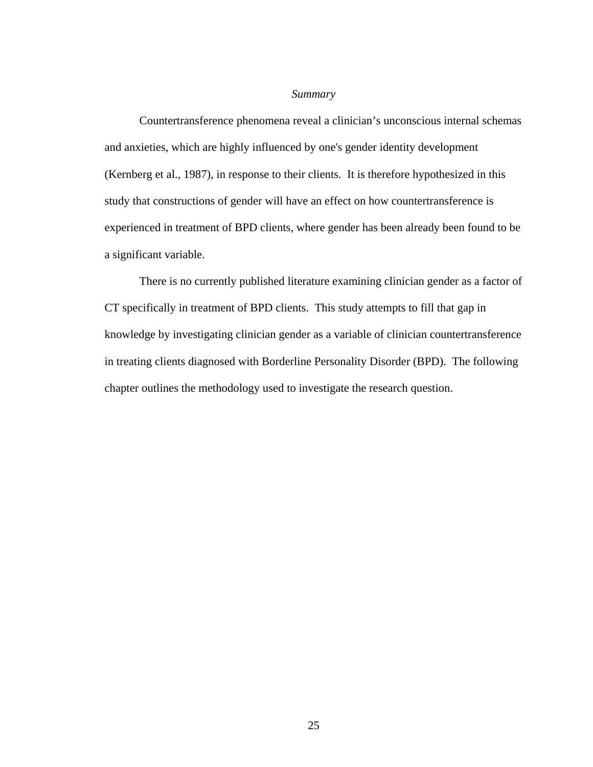#### *Summary*

Countertransference phenomena reveal a clinician's unconscious internal schemas and anxieties, which are highly influenced by one's gender identity development (Kernberg et al., 1987), in response to their clients. It is therefore hypothesized in this study that constructions of gender will have an effect on how countertransference is experienced in treatment of BPD clients, where gender has been already been found to be a significant variable.

There is no currently published literature examining clinician gender as a factor of CT specifically in treatment of BPD clients. This study attempts to fill that gap in knowledge by investigating clinician gender as a variable of clinician countertransference in treating clients diagnosed with Borderline Personality Disorder (BPD). The following chapter outlines the methodology used to investigate the research question.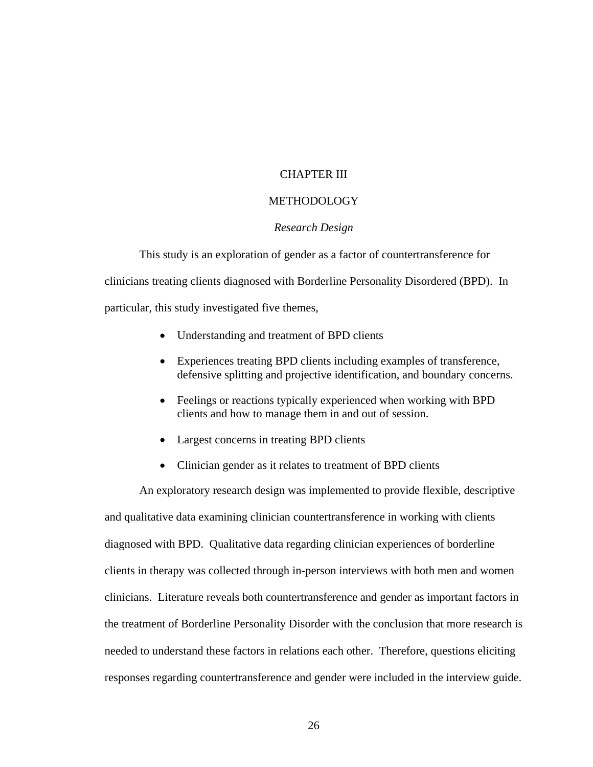# CHAPTER III

# **METHODOLOGY**

#### *Research Design*

This study is an exploration of gender as a factor of countertransference for clinicians treating clients diagnosed with Borderline Personality Disordered (BPD). In particular, this study investigated five themes,

- Understanding and treatment of BPD clients
- Experiences treating BPD clients including examples of transference, defensive splitting and projective identification, and boundary concerns.
- Feelings or reactions typically experienced when working with BPD clients and how to manage them in and out of session.
- Largest concerns in treating BPD clients
- Clinician gender as it relates to treatment of BPD clients

An exploratory research design was implemented to provide flexible, descriptive and qualitative data examining clinician countertransference in working with clients diagnosed with BPD. Qualitative data regarding clinician experiences of borderline clients in therapy was collected through in-person interviews with both men and women clinicians. Literature reveals both countertransference and gender as important factors in the treatment of Borderline Personality Disorder with the conclusion that more research is needed to understand these factors in relations each other. Therefore, questions eliciting responses regarding countertransference and gender were included in the interview guide.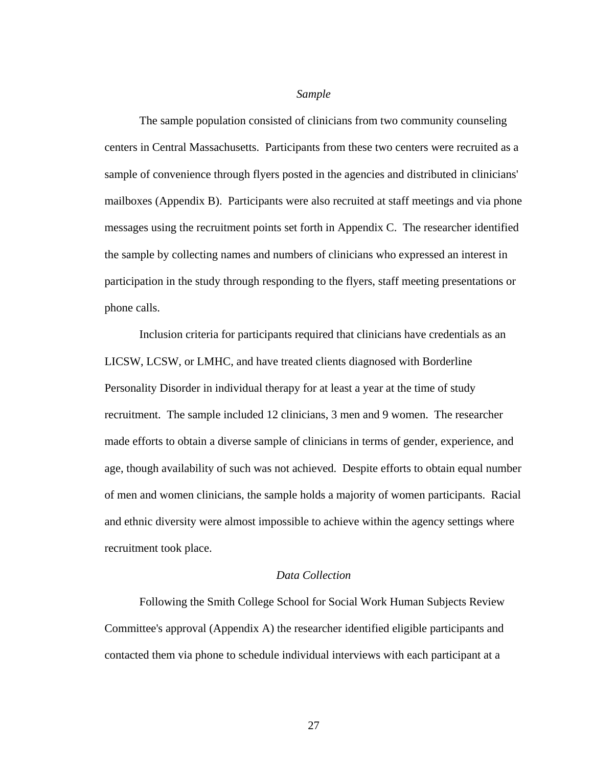#### *Sample*

The sample population consisted of clinicians from two community counseling centers in Central Massachusetts. Participants from these two centers were recruited as a sample of convenience through flyers posted in the agencies and distributed in clinicians' mailboxes (Appendix B). Participants were also recruited at staff meetings and via phone messages using the recruitment points set forth in Appendix C. The researcher identified the sample by collecting names and numbers of clinicians who expressed an interest in participation in the study through responding to the flyers, staff meeting presentations or phone calls.

Inclusion criteria for participants required that clinicians have credentials as an LICSW, LCSW, or LMHC, and have treated clients diagnosed with Borderline Personality Disorder in individual therapy for at least a year at the time of study recruitment. The sample included 12 clinicians, 3 men and 9 women. The researcher made efforts to obtain a diverse sample of clinicians in terms of gender, experience, and age, though availability of such was not achieved. Despite efforts to obtain equal number of men and women clinicians, the sample holds a majority of women participants. Racial and ethnic diversity were almost impossible to achieve within the agency settings where recruitment took place.

# *Data Collection*

Following the Smith College School for Social Work Human Subjects Review Committee's approval (Appendix A) the researcher identified eligible participants and contacted them via phone to schedule individual interviews with each participant at a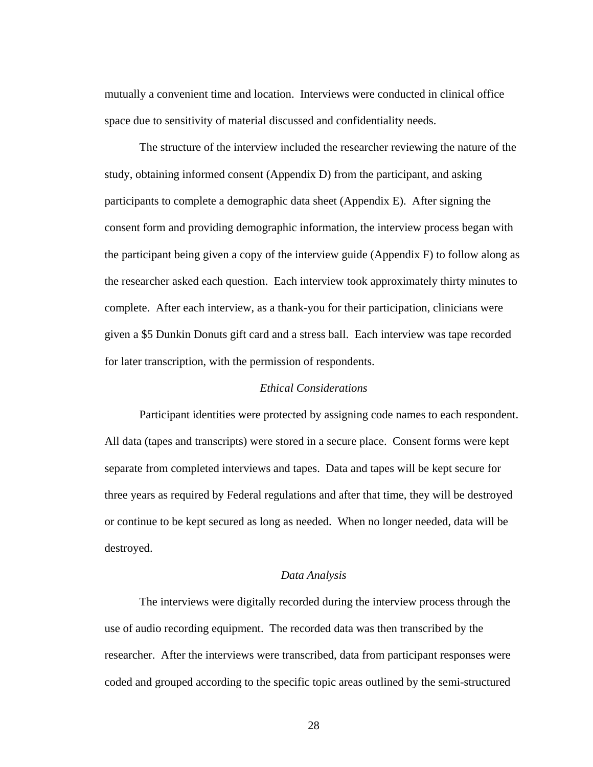mutually a convenient time and location. Interviews were conducted in clinical office space due to sensitivity of material discussed and confidentiality needs.

The structure of the interview included the researcher reviewing the nature of the study, obtaining informed consent (Appendix D) from the participant, and asking participants to complete a demographic data sheet (Appendix E). After signing the consent form and providing demographic information, the interview process began with the participant being given a copy of the interview guide (Appendix F) to follow along as the researcher asked each question. Each interview took approximately thirty minutes to complete. After each interview, as a thank-you for their participation, clinicians were given a \$5 Dunkin Donuts gift card and a stress ball. Each interview was tape recorded for later transcription, with the permission of respondents.

# *Ethical Considerations*

Participant identities were protected by assigning code names to each respondent. All data (tapes and transcripts) were stored in a secure place. Consent forms were kept separate from completed interviews and tapes. Data and tapes will be kept secure for three years as required by Federal regulations and after that time, they will be destroyed or continue to be kept secured as long as needed. When no longer needed, data will be destroyed.

#### *Data Analysis*

The interviews were digitally recorded during the interview process through the use of audio recording equipment. The recorded data was then transcribed by the researcher. After the interviews were transcribed, data from participant responses were coded and grouped according to the specific topic areas outlined by the semi-structured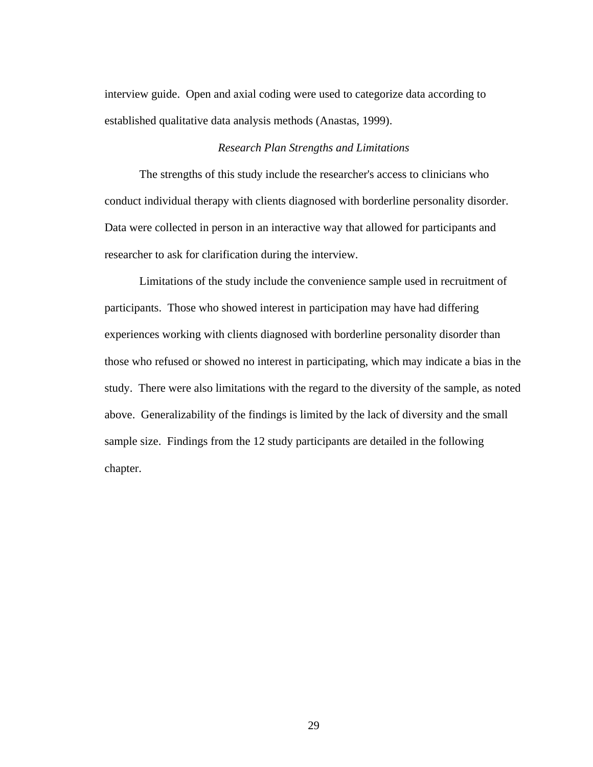interview guide. Open and axial coding were used to categorize data according to established qualitative data analysis methods (Anastas, 1999).

#### *Research Plan Strengths and Limitations*

The strengths of this study include the researcher's access to clinicians who conduct individual therapy with clients diagnosed with borderline personality disorder. Data were collected in person in an interactive way that allowed for participants and researcher to ask for clarification during the interview.

Limitations of the study include the convenience sample used in recruitment of participants. Those who showed interest in participation may have had differing experiences working with clients diagnosed with borderline personality disorder than those who refused or showed no interest in participating, which may indicate a bias in the study. There were also limitations with the regard to the diversity of the sample, as noted above. Generalizability of the findings is limited by the lack of diversity and the small sample size. Findings from the 12 study participants are detailed in the following chapter.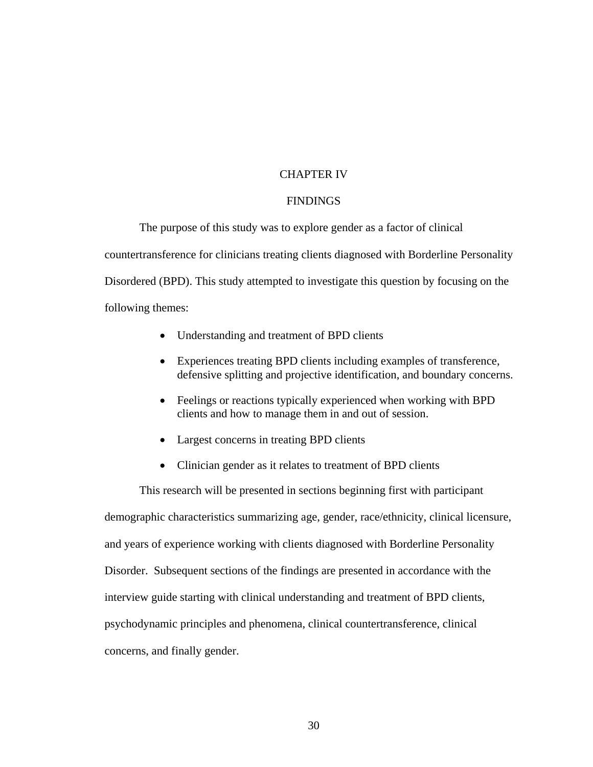# CHAPTER IV

#### FINDINGS

The purpose of this study was to explore gender as a factor of clinical countertransference for clinicians treating clients diagnosed with Borderline Personality Disordered (BPD). This study attempted to investigate this question by focusing on the following themes:

- Understanding and treatment of BPD clients
- Experiences treating BPD clients including examples of transference, defensive splitting and projective identification, and boundary concerns.
- Feelings or reactions typically experienced when working with BPD clients and how to manage them in and out of session.
- Largest concerns in treating BPD clients
- Clinician gender as it relates to treatment of BPD clients

This research will be presented in sections beginning first with participant demographic characteristics summarizing age, gender, race/ethnicity, clinical licensure, and years of experience working with clients diagnosed with Borderline Personality Disorder. Subsequent sections of the findings are presented in accordance with the interview guide starting with clinical understanding and treatment of BPD clients, psychodynamic principles and phenomena, clinical countertransference, clinical concerns, and finally gender.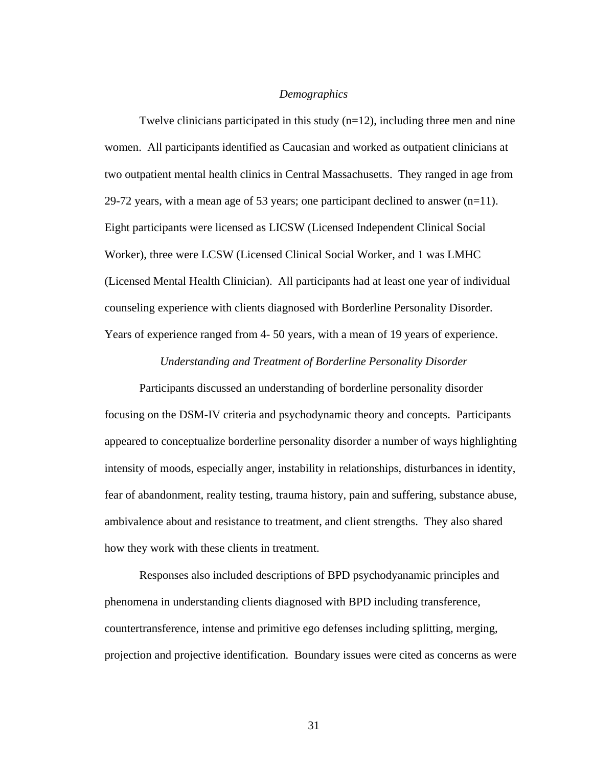#### *Demographics*

Twelve clinicians participated in this study  $(n=12)$ , including three men and nine women. All participants identified as Caucasian and worked as outpatient clinicians at two outpatient mental health clinics in Central Massachusetts. They ranged in age from 29-72 years, with a mean age of 53 years; one participant declined to answer  $(n=11)$ . Eight participants were licensed as LICSW (Licensed Independent Clinical Social Worker), three were LCSW (Licensed Clinical Social Worker, and 1 was LMHC (Licensed Mental Health Clinician). All participants had at least one year of individual counseling experience with clients diagnosed with Borderline Personality Disorder. Years of experience ranged from 4- 50 years, with a mean of 19 years of experience.

## *Understanding and Treatment of Borderline Personality Disorder*

Participants discussed an understanding of borderline personality disorder focusing on the DSM-IV criteria and psychodynamic theory and concepts. Participants appeared to conceptualize borderline personality disorder a number of ways highlighting intensity of moods, especially anger, instability in relationships, disturbances in identity, fear of abandonment, reality testing, trauma history, pain and suffering, substance abuse, ambivalence about and resistance to treatment, and client strengths. They also shared how they work with these clients in treatment.

Responses also included descriptions of BPD psychodyanamic principles and phenomena in understanding clients diagnosed with BPD including transference, countertransference, intense and primitive ego defenses including splitting, merging, projection and projective identification. Boundary issues were cited as concerns as were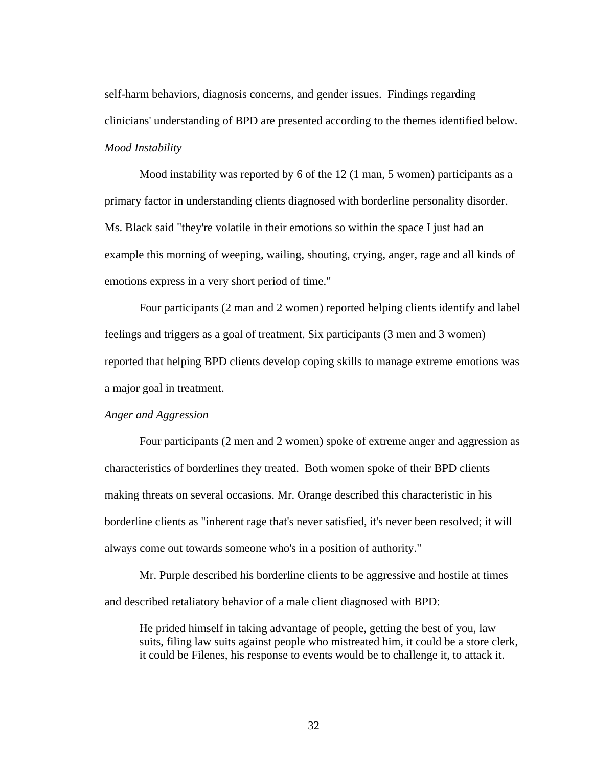self-harm behaviors, diagnosis concerns, and gender issues. Findings regarding clinicians' understanding of BPD are presented according to the themes identified below. *Mood Instability* 

Mood instability was reported by 6 of the 12 (1 man, 5 women) participants as a primary factor in understanding clients diagnosed with borderline personality disorder. Ms. Black said "they're volatile in their emotions so within the space I just had an example this morning of weeping, wailing, shouting, crying, anger, rage and all kinds of emotions express in a very short period of time."

Four participants (2 man and 2 women) reported helping clients identify and label feelings and triggers as a goal of treatment. Six participants (3 men and 3 women) reported that helping BPD clients develop coping skills to manage extreme emotions was a major goal in treatment.

## *Anger and Aggression*

Four participants (2 men and 2 women) spoke of extreme anger and aggression as characteristics of borderlines they treated. Both women spoke of their BPD clients making threats on several occasions. Mr. Orange described this characteristic in his borderline clients as "inherent rage that's never satisfied, it's never been resolved; it will always come out towards someone who's in a position of authority."

Mr. Purple described his borderline clients to be aggressive and hostile at times and described retaliatory behavior of a male client diagnosed with BPD:

He prided himself in taking advantage of people, getting the best of you, law suits, filing law suits against people who mistreated him, it could be a store clerk, it could be Filenes, his response to events would be to challenge it, to attack it.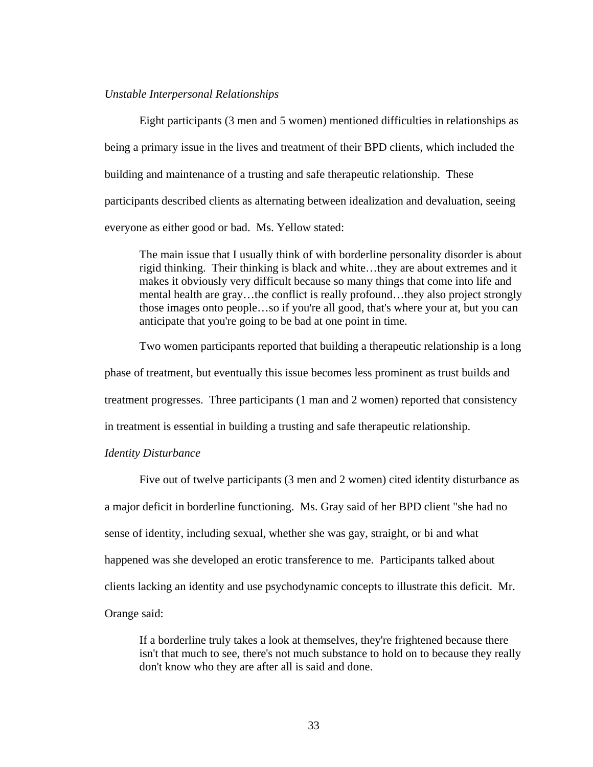#### *Unstable Interpersonal Relationships*

Eight participants (3 men and 5 women) mentioned difficulties in relationships as being a primary issue in the lives and treatment of their BPD clients, which included the building and maintenance of a trusting and safe therapeutic relationship. These participants described clients as alternating between idealization and devaluation, seeing everyone as either good or bad. Ms. Yellow stated:

The main issue that I usually think of with borderline personality disorder is about rigid thinking. Their thinking is black and white…they are about extremes and it makes it obviously very difficult because so many things that come into life and mental health are gray…the conflict is really profound…they also project strongly those images onto people…so if you're all good, that's where your at, but you can anticipate that you're going to be bad at one point in time.

Two women participants reported that building a therapeutic relationship is a long phase of treatment, but eventually this issue becomes less prominent as trust builds and treatment progresses. Three participants (1 man and 2 women) reported that consistency in treatment is essential in building a trusting and safe therapeutic relationship.

## *Identity Disturbance*

Five out of twelve participants (3 men and 2 women) cited identity disturbance as a major deficit in borderline functioning. Ms. Gray said of her BPD client "she had no sense of identity, including sexual, whether she was gay, straight, or bi and what happened was she developed an erotic transference to me. Participants talked about clients lacking an identity and use psychodynamic concepts to illustrate this deficit. Mr. Orange said:

If a borderline truly takes a look at themselves, they're frightened because there isn't that much to see, there's not much substance to hold on to because they really don't know who they are after all is said and done.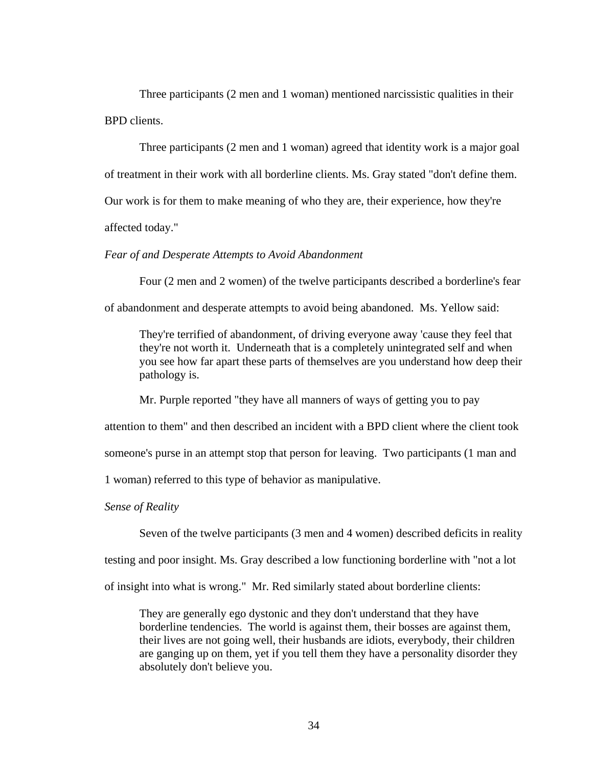Three participants (2 men and 1 woman) mentioned narcissistic qualities in their BPD clients.

Three participants (2 men and 1 woman) agreed that identity work is a major goal of treatment in their work with all borderline clients. Ms. Gray stated "don't define them. Our work is for them to make meaning of who they are, their experience, how they're affected today."

*Fear of and Desperate Attempts to Avoid Abandonment* 

Four (2 men and 2 women) of the twelve participants described a borderline's fear

of abandonment and desperate attempts to avoid being abandoned. Ms. Yellow said:

They're terrified of abandonment, of driving everyone away 'cause they feel that they're not worth it. Underneath that is a completely unintegrated self and when you see how far apart these parts of themselves are you understand how deep their pathology is.

Mr. Purple reported "they have all manners of ways of getting you to pay

attention to them" and then described an incident with a BPD client where the client took

someone's purse in an attempt stop that person for leaving. Two participants (1 man and

1 woman) referred to this type of behavior as manipulative.

*Sense of Reality* 

Seven of the twelve participants (3 men and 4 women) described deficits in reality

testing and poor insight. Ms. Gray described a low functioning borderline with "not a lot

of insight into what is wrong." Mr. Red similarly stated about borderline clients:

They are generally ego dystonic and they don't understand that they have borderline tendencies. The world is against them, their bosses are against them, their lives are not going well, their husbands are idiots, everybody, their children are ganging up on them, yet if you tell them they have a personality disorder they absolutely don't believe you.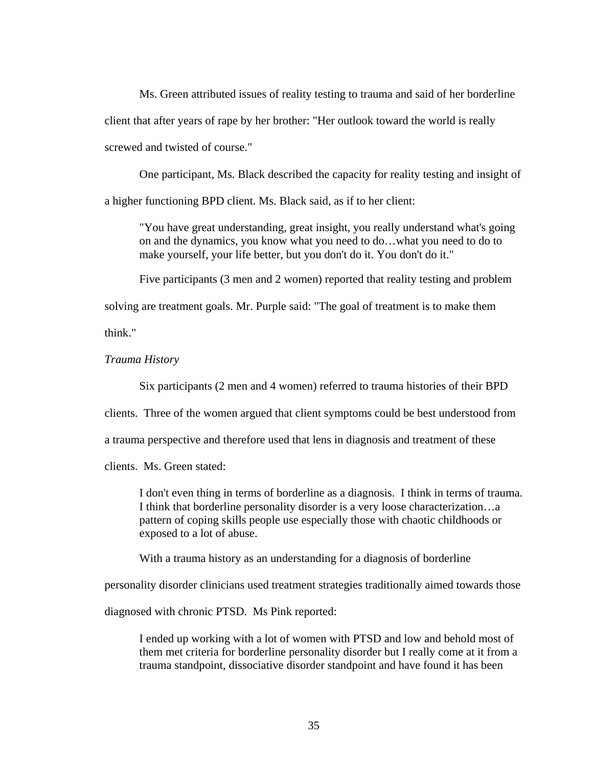Ms. Green attributed issues of reality testing to trauma and said of her borderline client that after years of rape by her brother: "Her outlook toward the world is really screwed and twisted of course."

One participant, Ms. Black described the capacity for reality testing and insight of a higher functioning BPD client. Ms. Black said, as if to her client:

"You have great understanding, great insight, you really understand what's going on and the dynamics, you know what you need to do…what you need to do to make yourself, your life better, but you don't do it. You don't do it."

Five participants (3 men and 2 women) reported that reality testing and problem

solving are treatment goals. Mr. Purple said: "The goal of treatment is to make them

think."

*Trauma History* 

Six participants (2 men and 4 women) referred to trauma histories of their BPD

clients. Three of the women argued that client symptoms could be best understood from

a trauma perspective and therefore used that lens in diagnosis and treatment of these

clients. Ms. Green stated:

I don't even thing in terms of borderline as a diagnosis. I think in terms of trauma. I think that borderline personality disorder is a very loose characterization…a pattern of coping skills people use especially those with chaotic childhoods or exposed to a lot of abuse.

With a trauma history as an understanding for a diagnosis of borderline

personality disorder clinicians used treatment strategies traditionally aimed towards those

diagnosed with chronic PTSD. Ms Pink reported:

I ended up working with a lot of women with PTSD and low and behold most of them met criteria for borderline personality disorder but I really come at it from a trauma standpoint, dissociative disorder standpoint and have found it has been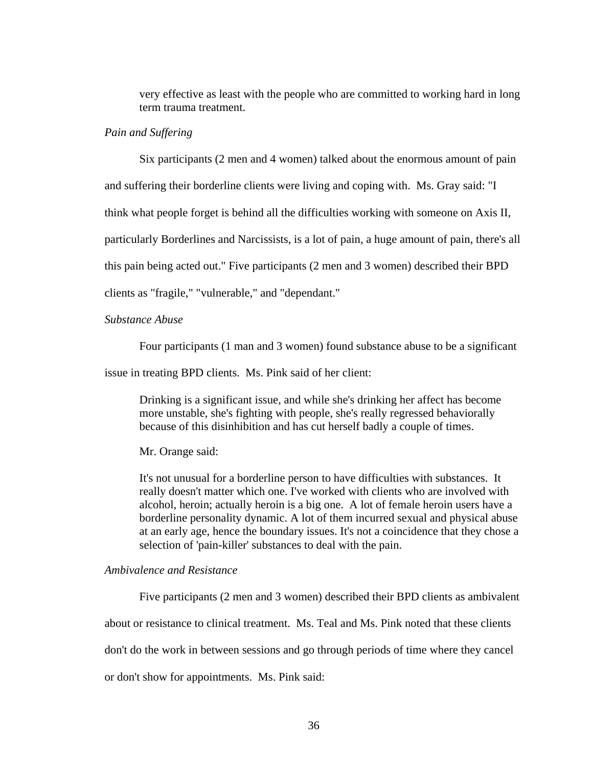very effective as least with the people who are committed to working hard in long term trauma treatment.

### *Pain and Suffering*

Six participants (2 men and 4 women) talked about the enormous amount of pain

and suffering their borderline clients were living and coping with. Ms. Gray said: "I

think what people forget is behind all the difficulties working with someone on Axis II,

particularly Borderlines and Narcissists, is a lot of pain, a huge amount of pain, there's all

this pain being acted out." Five participants (2 men and 3 women) described their BPD

clients as "fragile," "vulnerable," and "dependant."

# *Substance Abuse*

Four participants (1 man and 3 women) found substance abuse to be a significant

issue in treating BPD clients. Ms. Pink said of her client:

Drinking is a significant issue, and while she's drinking her affect has become more unstable, she's fighting with people, she's really regressed behaviorally because of this disinhibition and has cut herself badly a couple of times.

Mr. Orange said:

It's not unusual for a borderline person to have difficulties with substances. It really doesn't matter which one. I've worked with clients who are involved with alcohol, heroin; actually heroin is a big one. A lot of female heroin users have a borderline personality dynamic. A lot of them incurred sexual and physical abuse at an early age, hence the boundary issues. It's not a coincidence that they chose a selection of 'pain-killer' substances to deal with the pain.

*Ambivalence and Resistance* 

Five participants (2 men and 3 women) described their BPD clients as ambivalent about or resistance to clinical treatment. Ms. Teal and Ms. Pink noted that these clients don't do the work in between sessions and go through periods of time where they cancel or don't show for appointments. Ms. Pink said: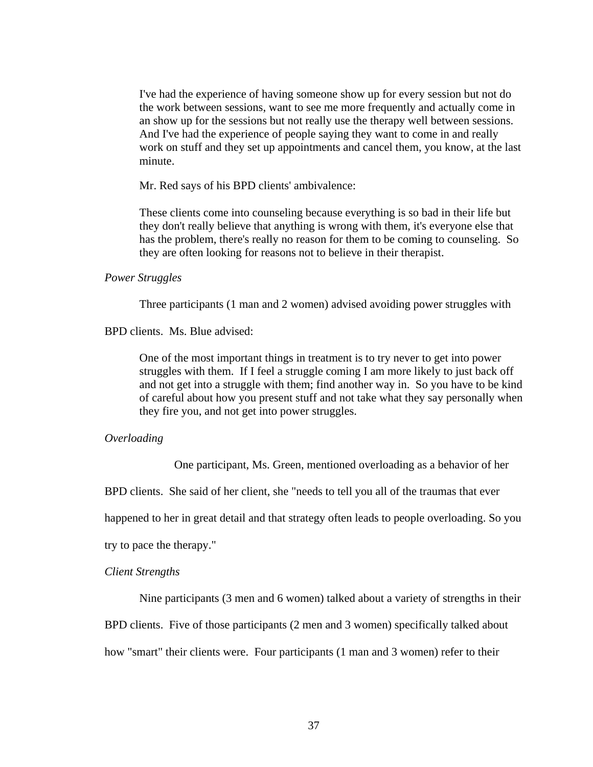I've had the experience of having someone show up for every session but not do the work between sessions, want to see me more frequently and actually come in an show up for the sessions but not really use the therapy well between sessions. And I've had the experience of people saying they want to come in and really work on stuff and they set up appointments and cancel them, you know, at the last minute.

Mr. Red says of his BPD clients' ambivalence:

These clients come into counseling because everything is so bad in their life but they don't really believe that anything is wrong with them, it's everyone else that has the problem, there's really no reason for them to be coming to counseling. So they are often looking for reasons not to believe in their therapist.

## *Power Struggles*

Three participants (1 man and 2 women) advised avoiding power struggles with

BPD clients. Ms. Blue advised:

One of the most important things in treatment is to try never to get into power struggles with them. If I feel a struggle coming I am more likely to just back off and not get into a struggle with them; find another way in. So you have to be kind of careful about how you present stuff and not take what they say personally when they fire you, and not get into power struggles.

## *Overloading*

One participant, Ms. Green, mentioned overloading as a behavior of her

BPD clients. She said of her client, she "needs to tell you all of the traumas that ever

happened to her in great detail and that strategy often leads to people overloading. So you

try to pace the therapy."

## *Client Strengths*

Nine participants (3 men and 6 women) talked about a variety of strengths in their

BPD clients. Five of those participants (2 men and 3 women) specifically talked about

how "smart" their clients were. Four participants (1 man and 3 women) refer to their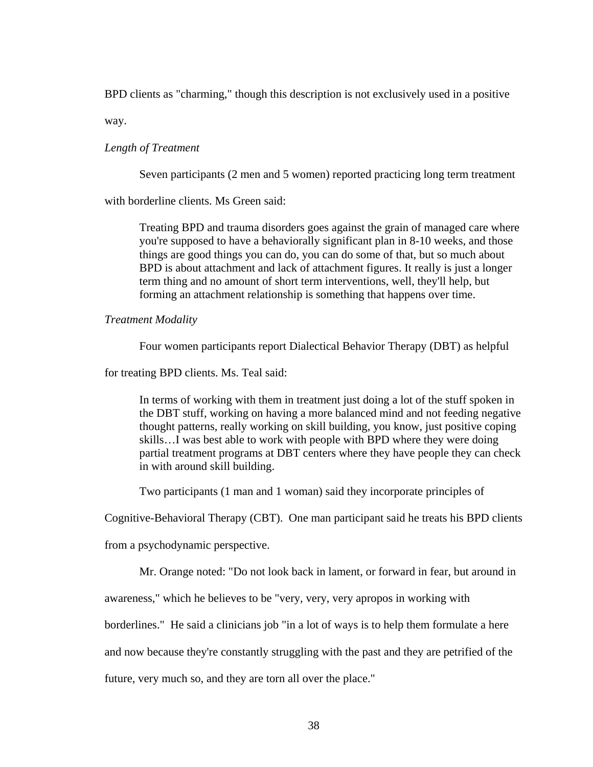BPD clients as "charming," though this description is not exclusively used in a positive

way.

## *Length of Treatment*

Seven participants (2 men and 5 women) reported practicing long term treatment

with borderline clients. Ms Green said:

Treating BPD and trauma disorders goes against the grain of managed care where you're supposed to have a behaviorally significant plan in 8-10 weeks, and those things are good things you can do, you can do some of that, but so much about BPD is about attachment and lack of attachment figures. It really is just a longer term thing and no amount of short term interventions, well, they'll help, but forming an attachment relationship is something that happens over time.

## *Treatment Modality*

Four women participants report Dialectical Behavior Therapy (DBT) as helpful

for treating BPD clients. Ms. Teal said:

In terms of working with them in treatment just doing a lot of the stuff spoken in the DBT stuff, working on having a more balanced mind and not feeding negative thought patterns, really working on skill building, you know, just positive coping skills…I was best able to work with people with BPD where they were doing partial treatment programs at DBT centers where they have people they can check in with around skill building.

Two participants (1 man and 1 woman) said they incorporate principles of

Cognitive-Behavioral Therapy (CBT). One man participant said he treats his BPD clients

from a psychodynamic perspective.

Mr. Orange noted: "Do not look back in lament, or forward in fear, but around in

awareness," which he believes to be "very, very, very apropos in working with

borderlines." He said a clinicians job "in a lot of ways is to help them formulate a here

and now because they're constantly struggling with the past and they are petrified of the

future, very much so, and they are torn all over the place."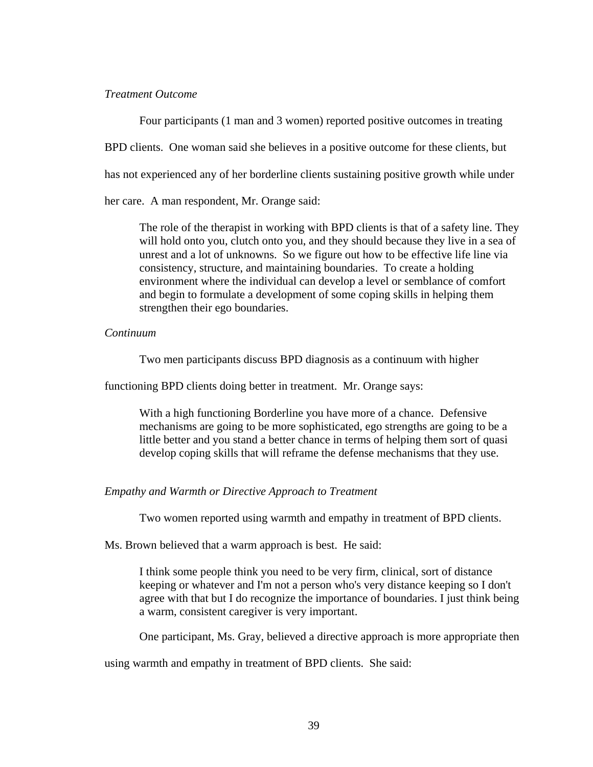## *Treatment Outcome*

Four participants (1 man and 3 women) reported positive outcomes in treating

BPD clients. One woman said she believes in a positive outcome for these clients, but

has not experienced any of her borderline clients sustaining positive growth while under

her care. A man respondent, Mr. Orange said:

The role of the therapist in working with BPD clients is that of a safety line. They will hold onto you, clutch onto you, and they should because they live in a sea of unrest and a lot of unknowns. So we figure out how to be effective life line via consistency, structure, and maintaining boundaries. To create a holding environment where the individual can develop a level or semblance of comfort and begin to formulate a development of some coping skills in helping them strengthen their ego boundaries.

## *Continuum*

Two men participants discuss BPD diagnosis as a continuum with higher

functioning BPD clients doing better in treatment. Mr. Orange says:

With a high functioning Borderline you have more of a chance. Defensive mechanisms are going to be more sophisticated, ego strengths are going to be a little better and you stand a better chance in terms of helping them sort of quasi develop coping skills that will reframe the defense mechanisms that they use.

# *Empathy and Warmth or Directive Approach to Treatment*

Two women reported using warmth and empathy in treatment of BPD clients.

Ms. Brown believed that a warm approach is best. He said:

I think some people think you need to be very firm, clinical, sort of distance keeping or whatever and I'm not a person who's very distance keeping so I don't agree with that but I do recognize the importance of boundaries. I just think being a warm, consistent caregiver is very important.

One participant, Ms. Gray, believed a directive approach is more appropriate then

using warmth and empathy in treatment of BPD clients. She said: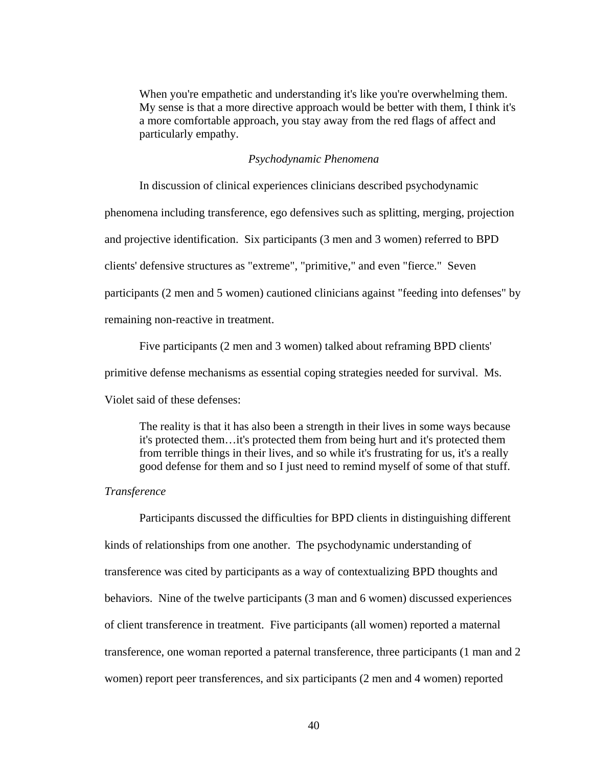When you're empathetic and understanding it's like you're overwhelming them. My sense is that a more directive approach would be better with them, I think it's a more comfortable approach, you stay away from the red flags of affect and particularly empathy.

## *Psychodynamic Phenomena*

In discussion of clinical experiences clinicians described psychodynamic

phenomena including transference, ego defensives such as splitting, merging, projection

and projective identification. Six participants (3 men and 3 women) referred to BPD

clients' defensive structures as "extreme", "primitive," and even "fierce." Seven

participants (2 men and 5 women) cautioned clinicians against "feeding into defenses" by

remaining non-reactive in treatment.

Five participants (2 men and 3 women) talked about reframing BPD clients'

primitive defense mechanisms as essential coping strategies needed for survival. Ms.

Violet said of these defenses:

The reality is that it has also been a strength in their lives in some ways because it's protected them…it's protected them from being hurt and it's protected them from terrible things in their lives, and so while it's frustrating for us, it's a really good defense for them and so I just need to remind myself of some of that stuff.

## *Transference*

Participants discussed the difficulties for BPD clients in distinguishing different kinds of relationships from one another. The psychodynamic understanding of transference was cited by participants as a way of contextualizing BPD thoughts and behaviors. Nine of the twelve participants (3 man and 6 women) discussed experiences of client transference in treatment. Five participants (all women) reported a maternal transference, one woman reported a paternal transference, three participants (1 man and 2 women) report peer transferences, and six participants (2 men and 4 women) reported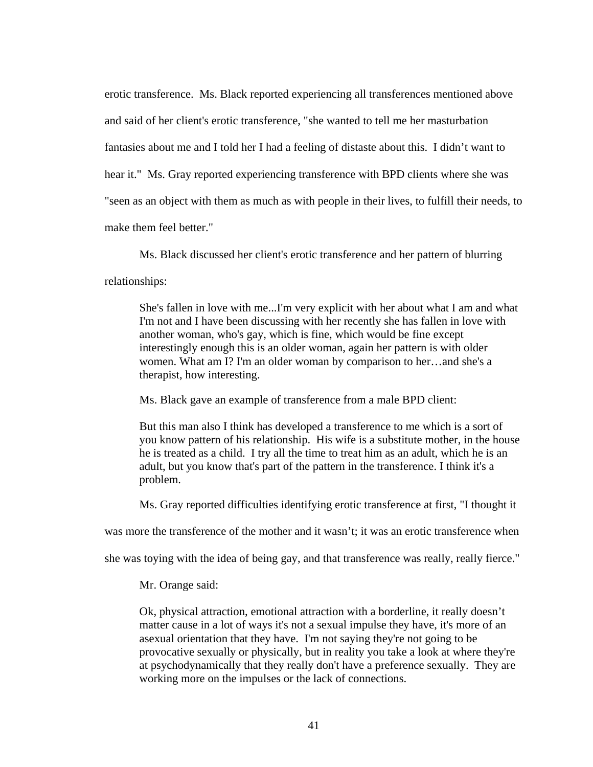erotic transference. Ms. Black reported experiencing all transferences mentioned above and said of her client's erotic transference, "she wanted to tell me her masturbation fantasies about me and I told her I had a feeling of distaste about this. I didn't want to hear it." Ms. Gray reported experiencing transference with BPD clients where she was "seen as an object with them as much as with people in their lives, to fulfill their needs, to make them feel better."

Ms. Black discussed her client's erotic transference and her pattern of blurring

relationships:

She's fallen in love with me...I'm very explicit with her about what I am and what I'm not and I have been discussing with her recently she has fallen in love with another woman, who's gay, which is fine, which would be fine except interestingly enough this is an older woman, again her pattern is with older women. What am I? I'm an older woman by comparison to her…and she's a therapist, how interesting.

Ms. Black gave an example of transference from a male BPD client:

But this man also I think has developed a transference to me which is a sort of you know pattern of his relationship. His wife is a substitute mother, in the house he is treated as a child. I try all the time to treat him as an adult, which he is an adult, but you know that's part of the pattern in the transference. I think it's a problem.

Ms. Gray reported difficulties identifying erotic transference at first, "I thought it

was more the transference of the mother and it wasn't; it was an erotic transference when

she was toying with the idea of being gay, and that transference was really, really fierce."

Mr. Orange said:

Ok, physical attraction, emotional attraction with a borderline, it really doesn't matter cause in a lot of ways it's not a sexual impulse they have, it's more of an asexual orientation that they have. I'm not saying they're not going to be provocative sexually or physically, but in reality you take a look at where they're at psychodynamically that they really don't have a preference sexually. They are working more on the impulses or the lack of connections.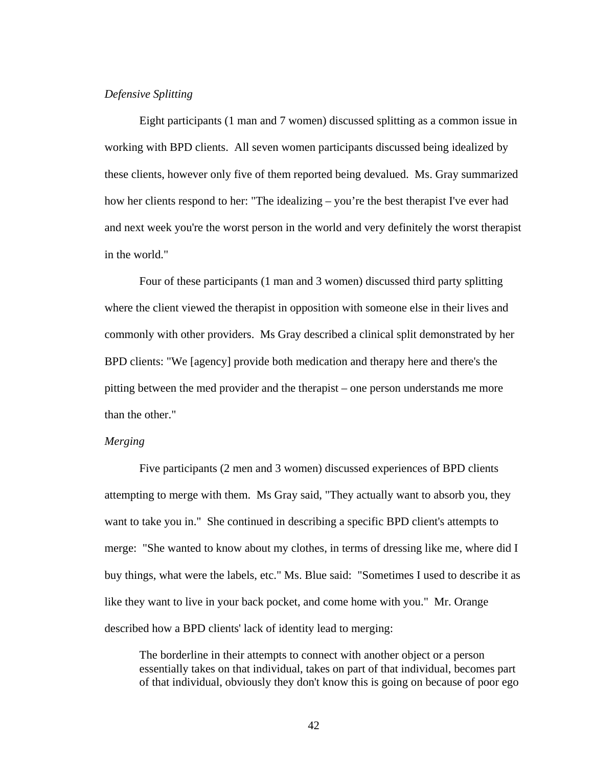#### *Defensive Splitting*

Eight participants (1 man and 7 women) discussed splitting as a common issue in working with BPD clients. All seven women participants discussed being idealized by these clients, however only five of them reported being devalued. Ms. Gray summarized how her clients respond to her: "The idealizing – you're the best therapist I've ever had and next week you're the worst person in the world and very definitely the worst therapist in the world."

Four of these participants (1 man and 3 women) discussed third party splitting where the client viewed the therapist in opposition with someone else in their lives and commonly with other providers. Ms Gray described a clinical split demonstrated by her BPD clients: "We [agency] provide both medication and therapy here and there's the pitting between the med provider and the therapist – one person understands me more than the other."

#### *Merging*

Five participants (2 men and 3 women) discussed experiences of BPD clients attempting to merge with them. Ms Gray said, "They actually want to absorb you, they want to take you in." She continued in describing a specific BPD client's attempts to merge: "She wanted to know about my clothes, in terms of dressing like me, where did I buy things, what were the labels, etc." Ms. Blue said: "Sometimes I used to describe it as like they want to live in your back pocket, and come home with you." Mr. Orange described how a BPD clients' lack of identity lead to merging:

The borderline in their attempts to connect with another object or a person essentially takes on that individual, takes on part of that individual, becomes part of that individual, obviously they don't know this is going on because of poor ego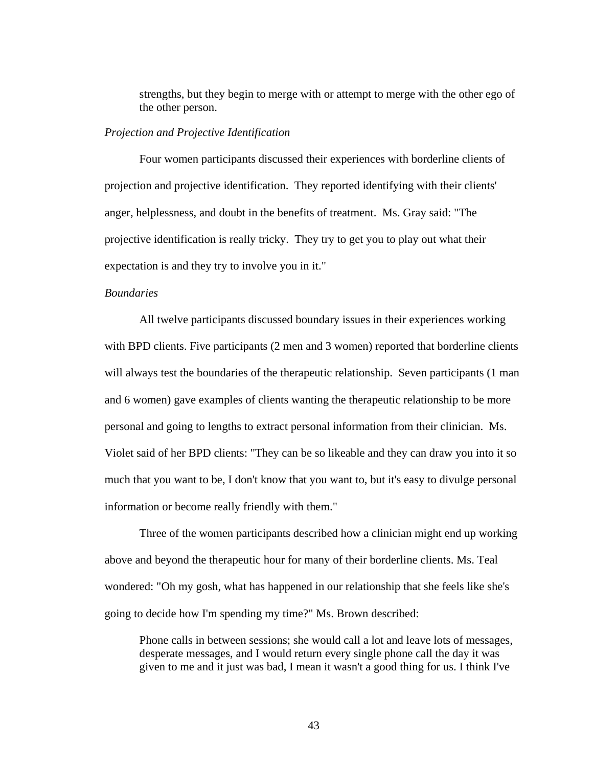strengths, but they begin to merge with or attempt to merge with the other ego of the other person.

## *Projection and Projective Identification*

Four women participants discussed their experiences with borderline clients of projection and projective identification. They reported identifying with their clients' anger, helplessness, and doubt in the benefits of treatment. Ms. Gray said: "The projective identification is really tricky. They try to get you to play out what their expectation is and they try to involve you in it."

### *Boundaries*

All twelve participants discussed boundary issues in their experiences working with BPD clients. Five participants (2 men and 3 women) reported that borderline clients will always test the boundaries of the therapeutic relationship. Seven participants (1 man and 6 women) gave examples of clients wanting the therapeutic relationship to be more personal and going to lengths to extract personal information from their clinician. Ms. Violet said of her BPD clients: "They can be so likeable and they can draw you into it so much that you want to be, I don't know that you want to, but it's easy to divulge personal information or become really friendly with them."

Three of the women participants described how a clinician might end up working above and beyond the therapeutic hour for many of their borderline clients. Ms. Teal wondered: "Oh my gosh, what has happened in our relationship that she feels like she's going to decide how I'm spending my time?" Ms. Brown described:

Phone calls in between sessions; she would call a lot and leave lots of messages, desperate messages, and I would return every single phone call the day it was given to me and it just was bad, I mean it wasn't a good thing for us. I think I've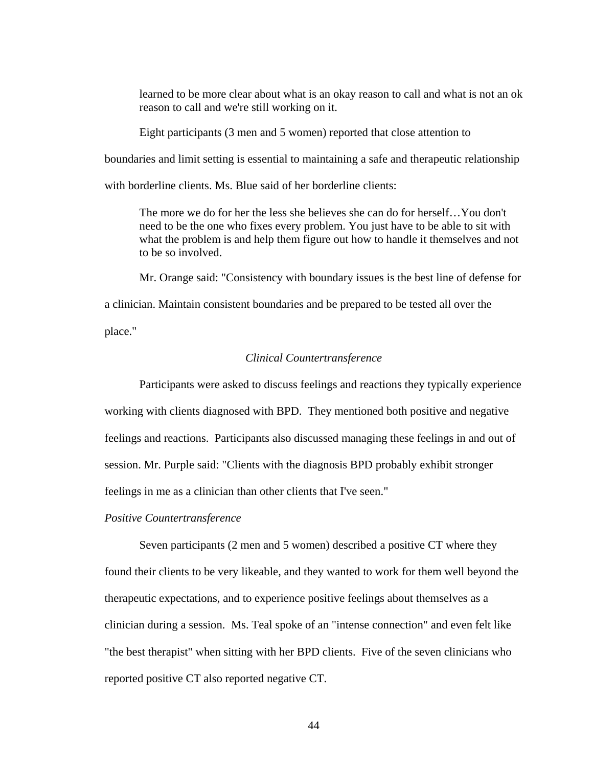learned to be more clear about what is an okay reason to call and what is not an ok reason to call and we're still working on it.

Eight participants (3 men and 5 women) reported that close attention to

boundaries and limit setting is essential to maintaining a safe and therapeutic relationship

with borderline clients. Ms. Blue said of her borderline clients:

The more we do for her the less she believes she can do for herself…You don't need to be the one who fixes every problem. You just have to be able to sit with what the problem is and help them figure out how to handle it themselves and not to be so involved.

Mr. Orange said: "Consistency with boundary issues is the best line of defense for

a clinician. Maintain consistent boundaries and be prepared to be tested all over the

place."

## *Clinical Countertransference*

Participants were asked to discuss feelings and reactions they typically experience working with clients diagnosed with BPD. They mentioned both positive and negative feelings and reactions. Participants also discussed managing these feelings in and out of session. Mr. Purple said: "Clients with the diagnosis BPD probably exhibit stronger feelings in me as a clinician than other clients that I've seen."

## *Positive Countertransference*

Seven participants (2 men and 5 women) described a positive CT where they found their clients to be very likeable, and they wanted to work for them well beyond the therapeutic expectations, and to experience positive feelings about themselves as a clinician during a session. Ms. Teal spoke of an "intense connection" and even felt like "the best therapist" when sitting with her BPD clients. Five of the seven clinicians who reported positive CT also reported negative CT.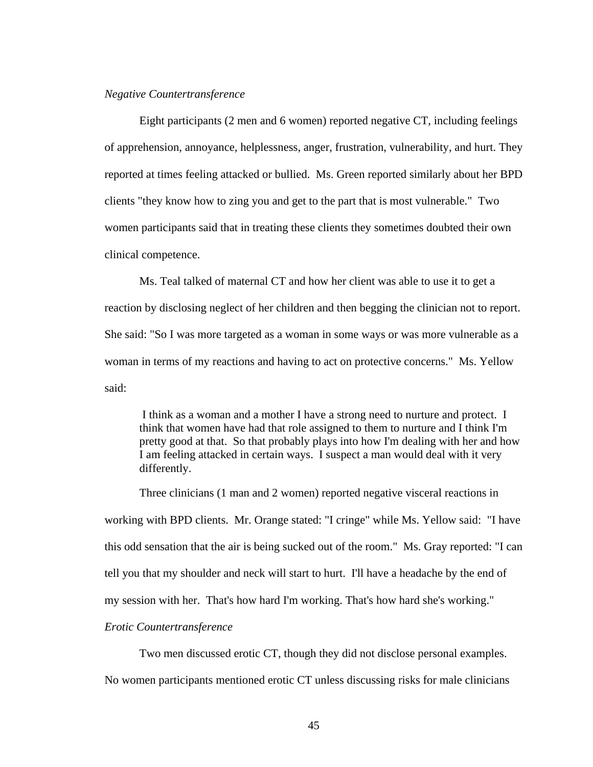#### *Negative Countertransference*

Eight participants (2 men and 6 women) reported negative CT, including feelings of apprehension, annoyance, helplessness, anger, frustration, vulnerability, and hurt. They reported at times feeling attacked or bullied. Ms. Green reported similarly about her BPD clients "they know how to zing you and get to the part that is most vulnerable." Two women participants said that in treating these clients they sometimes doubted their own clinical competence.

Ms. Teal talked of maternal CT and how her client was able to use it to get a reaction by disclosing neglect of her children and then begging the clinician not to report. She said: "So I was more targeted as a woman in some ways or was more vulnerable as a woman in terms of my reactions and having to act on protective concerns." Ms. Yellow said:

 I think as a woman and a mother I have a strong need to nurture and protect. I think that women have had that role assigned to them to nurture and I think I'm pretty good at that. So that probably plays into how I'm dealing with her and how I am feeling attacked in certain ways. I suspect a man would deal with it very differently.

Three clinicians (1 man and 2 women) reported negative visceral reactions in working with BPD clients. Mr. Orange stated: "I cringe" while Ms. Yellow said: "I have this odd sensation that the air is being sucked out of the room." Ms. Gray reported: "I can tell you that my shoulder and neck will start to hurt. I'll have a headache by the end of my session with her. That's how hard I'm working. That's how hard she's working."

## *Erotic Countertransference*

Two men discussed erotic CT, though they did not disclose personal examples.

No women participants mentioned erotic CT unless discussing risks for male clinicians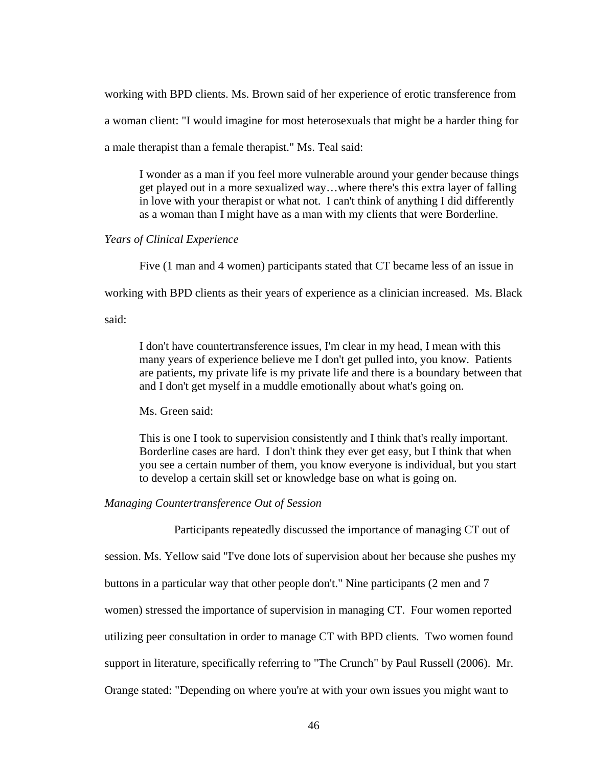working with BPD clients. Ms. Brown said of her experience of erotic transference from a woman client: "I would imagine for most heterosexuals that might be a harder thing for a male therapist than a female therapist." Ms. Teal said:

I wonder as a man if you feel more vulnerable around your gender because things get played out in a more sexualized way…where there's this extra layer of falling in love with your therapist or what not. I can't think of anything I did differently as a woman than I might have as a man with my clients that were Borderline.

### *Years of Clinical Experience*

Five (1 man and 4 women) participants stated that CT became less of an issue in

working with BPD clients as their years of experience as a clinician increased. Ms. Black

said:

I don't have countertransference issues, I'm clear in my head, I mean with this many years of experience believe me I don't get pulled into, you know. Patients are patients, my private life is my private life and there is a boundary between that and I don't get myself in a muddle emotionally about what's going on.

Ms. Green said:

This is one I took to supervision consistently and I think that's really important. Borderline cases are hard. I don't think they ever get easy, but I think that when you see a certain number of them, you know everyone is individual, but you start to develop a certain skill set or knowledge base on what is going on.

#### *Managing Countertransference Out of Session*

Participants repeatedly discussed the importance of managing CT out of

session. Ms. Yellow said "I've done lots of supervision about her because she pushes my

buttons in a particular way that other people don't." Nine participants (2 men and 7

women) stressed the importance of supervision in managing CT. Four women reported

utilizing peer consultation in order to manage CT with BPD clients. Two women found

support in literature, specifically referring to "The Crunch" by Paul Russell (2006). Mr.

Orange stated: "Depending on where you're at with your own issues you might want to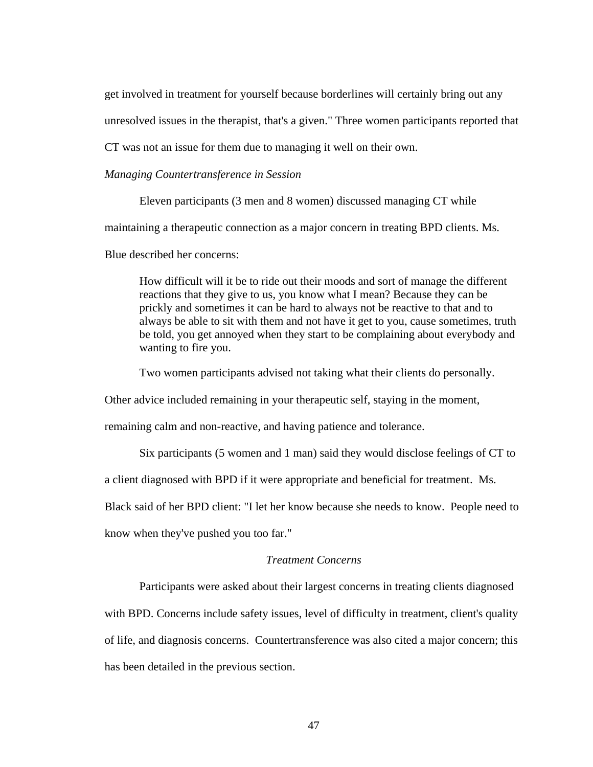get involved in treatment for yourself because borderlines will certainly bring out any unresolved issues in the therapist, that's a given." Three women participants reported that CT was not an issue for them due to managing it well on their own.

## *Managing Countertransference in Session*

Eleven participants (3 men and 8 women) discussed managing CT while

maintaining a therapeutic connection as a major concern in treating BPD clients. Ms.

Blue described her concerns:

How difficult will it be to ride out their moods and sort of manage the different reactions that they give to us, you know what I mean? Because they can be prickly and sometimes it can be hard to always not be reactive to that and to always be able to sit with them and not have it get to you, cause sometimes, truth be told, you get annoyed when they start to be complaining about everybody and wanting to fire you.

Two women participants advised not taking what their clients do personally.

Other advice included remaining in your therapeutic self, staying in the moment,

remaining calm and non-reactive, and having patience and tolerance.

Six participants (5 women and 1 man) said they would disclose feelings of CT to

a client diagnosed with BPD if it were appropriate and beneficial for treatment. Ms.

Black said of her BPD client: "I let her know because she needs to know. People need to

know when they've pushed you too far."

## *Treatment Concerns*

Participants were asked about their largest concerns in treating clients diagnosed with BPD. Concerns include safety issues, level of difficulty in treatment, client's quality of life, and diagnosis concerns. Countertransference was also cited a major concern; this has been detailed in the previous section.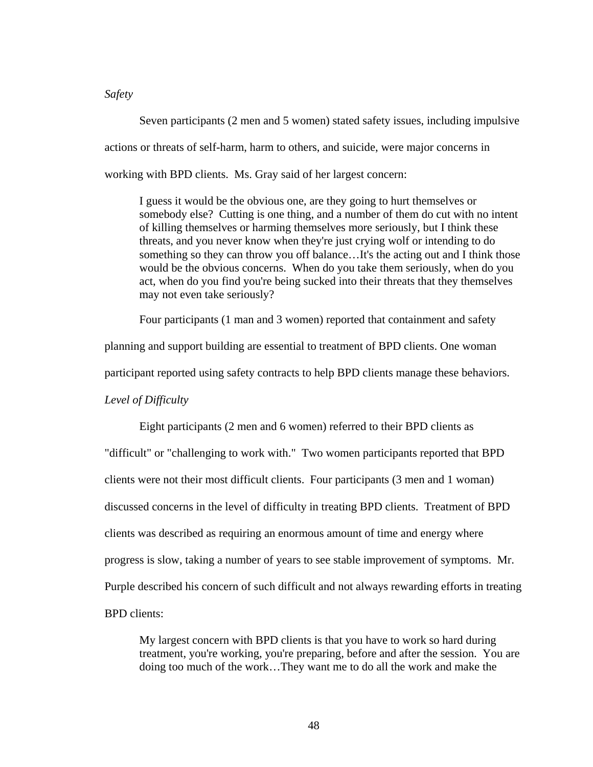#### *Safety*

Seven participants (2 men and 5 women) stated safety issues, including impulsive actions or threats of self-harm, harm to others, and suicide, were major concerns in working with BPD clients. Ms. Gray said of her largest concern:

I guess it would be the obvious one, are they going to hurt themselves or somebody else? Cutting is one thing, and a number of them do cut with no intent of killing themselves or harming themselves more seriously, but I think these threats, and you never know when they're just crying wolf or intending to do something so they can throw you off balance…It's the acting out and I think those would be the obvious concerns. When do you take them seriously, when do you act, when do you find you're being sucked into their threats that they themselves may not even take seriously?

Four participants (1 man and 3 women) reported that containment and safety

planning and support building are essential to treatment of BPD clients. One woman

participant reported using safety contracts to help BPD clients manage these behaviors.

*Level of Difficulty* 

Eight participants (2 men and 6 women) referred to their BPD clients as "difficult" or "challenging to work with." Two women participants reported that BPD clients were not their most difficult clients. Four participants (3 men and 1 woman) discussed concerns in the level of difficulty in treating BPD clients. Treatment of BPD clients was described as requiring an enormous amount of time and energy where progress is slow, taking a number of years to see stable improvement of symptoms. Mr. Purple described his concern of such difficult and not always rewarding efforts in treating BPD clients:

My largest concern with BPD clients is that you have to work so hard during treatment, you're working, you're preparing, before and after the session. You are doing too much of the work…They want me to do all the work and make the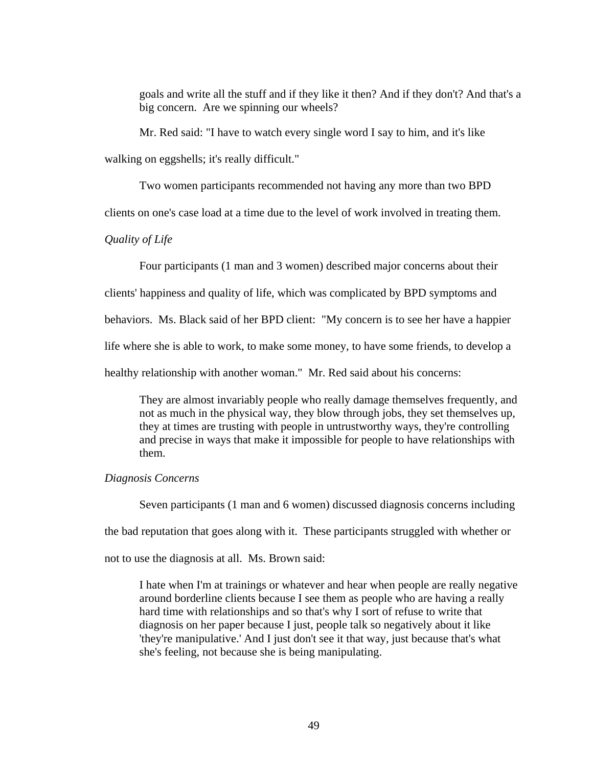goals and write all the stuff and if they like it then? And if they don't? And that's a big concern. Are we spinning our wheels?

Mr. Red said: "I have to watch every single word I say to him, and it's like walking on eggshells; it's really difficult."

Two women participants recommended not having any more than two BPD

clients on one's case load at a time due to the level of work involved in treating them.

*Quality of Life* 

Four participants (1 man and 3 women) described major concerns about their

clients' happiness and quality of life, which was complicated by BPD symptoms and

behaviors. Ms. Black said of her BPD client: "My concern is to see her have a happier

life where she is able to work, to make some money, to have some friends, to develop a

healthy relationship with another woman." Mr. Red said about his concerns:

They are almost invariably people who really damage themselves frequently, and not as much in the physical way, they blow through jobs, they set themselves up, they at times are trusting with people in untrustworthy ways, they're controlling and precise in ways that make it impossible for people to have relationships with them.

## *Diagnosis Concerns*

Seven participants (1 man and 6 women) discussed diagnosis concerns including

the bad reputation that goes along with it. These participants struggled with whether or

not to use the diagnosis at all. Ms. Brown said:

I hate when I'm at trainings or whatever and hear when people are really negative around borderline clients because I see them as people who are having a really hard time with relationships and so that's why I sort of refuse to write that diagnosis on her paper because I just, people talk so negatively about it like 'they're manipulative.' And I just don't see it that way, just because that's what she's feeling, not because she is being manipulating.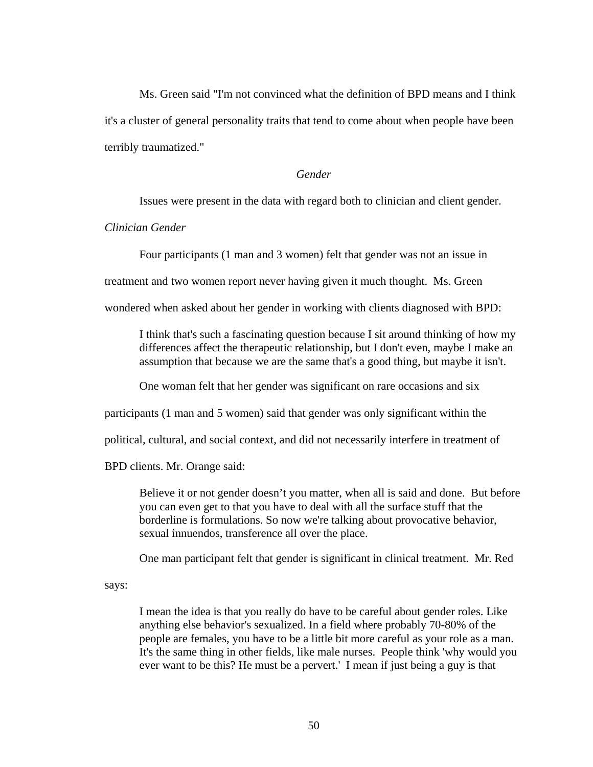Ms. Green said "I'm not convinced what the definition of BPD means and I think it's a cluster of general personality traits that tend to come about when people have been terribly traumatized."

#### *Gender*

Issues were present in the data with regard both to clinician and client gender.

*Clinician Gender* 

Four participants (1 man and 3 women) felt that gender was not an issue in

treatment and two women report never having given it much thought. Ms. Green

wondered when asked about her gender in working with clients diagnosed with BPD:

I think that's such a fascinating question because I sit around thinking of how my differences affect the therapeutic relationship, but I don't even, maybe I make an assumption that because we are the same that's a good thing, but maybe it isn't.

One woman felt that her gender was significant on rare occasions and six

participants (1 man and 5 women) said that gender was only significant within the

political, cultural, and social context, and did not necessarily interfere in treatment of

BPD clients. Mr. Orange said:

Believe it or not gender doesn't you matter, when all is said and done. But before you can even get to that you have to deal with all the surface stuff that the borderline is formulations. So now we're talking about provocative behavior, sexual innuendos, transference all over the place.

One man participant felt that gender is significant in clinical treatment. Mr. Red

says:

I mean the idea is that you really do have to be careful about gender roles. Like anything else behavior's sexualized. In a field where probably 70-80% of the people are females, you have to be a little bit more careful as your role as a man. It's the same thing in other fields, like male nurses. People think 'why would you ever want to be this? He must be a pervert.' I mean if just being a guy is that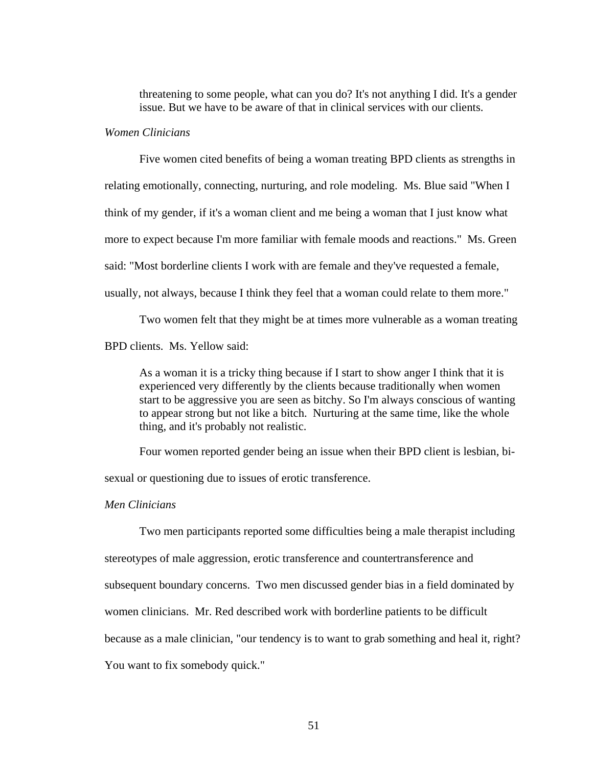threatening to some people, what can you do? It's not anything I did. It's a gender issue. But we have to be aware of that in clinical services with our clients.

## *Women Clinicians*

Five women cited benefits of being a woman treating BPD clients as strengths in relating emotionally, connecting, nurturing, and role modeling. Ms. Blue said "When I think of my gender, if it's a woman client and me being a woman that I just know what more to expect because I'm more familiar with female moods and reactions." Ms. Green said: "Most borderline clients I work with are female and they've requested a female, usually, not always, because I think they feel that a woman could relate to them more."

Two women felt that they might be at times more vulnerable as a woman treating

# BPD clients. Ms. Yellow said:

As a woman it is a tricky thing because if I start to show anger I think that it is experienced very differently by the clients because traditionally when women start to be aggressive you are seen as bitchy. So I'm always conscious of wanting to appear strong but not like a bitch. Nurturing at the same time, like the whole thing, and it's probably not realistic.

Four women reported gender being an issue when their BPD client is lesbian, bi-

sexual or questioning due to issues of erotic transference.

*Men Clinicians* 

Two men participants reported some difficulties being a male therapist including stereotypes of male aggression, erotic transference and countertransference and subsequent boundary concerns. Two men discussed gender bias in a field dominated by women clinicians. Mr. Red described work with borderline patients to be difficult because as a male clinician, "our tendency is to want to grab something and heal it, right? You want to fix somebody quick."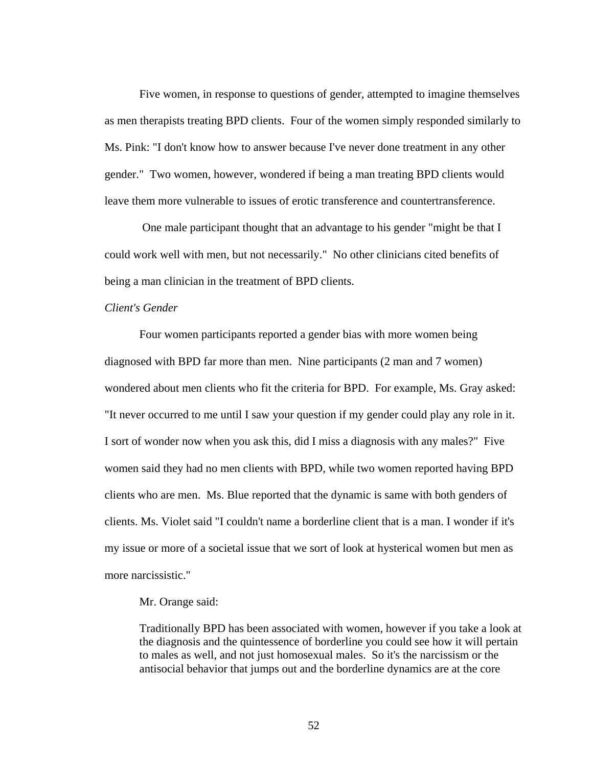Five women, in response to questions of gender, attempted to imagine themselves as men therapists treating BPD clients. Four of the women simply responded similarly to Ms. Pink: "I don't know how to answer because I've never done treatment in any other gender." Two women, however, wondered if being a man treating BPD clients would leave them more vulnerable to issues of erotic transference and countertransference.

 One male participant thought that an advantage to his gender "might be that I could work well with men, but not necessarily." No other clinicians cited benefits of being a man clinician in the treatment of BPD clients.

## *Client's Gender*

Four women participants reported a gender bias with more women being diagnosed with BPD far more than men. Nine participants (2 man and 7 women) wondered about men clients who fit the criteria for BPD. For example, Ms. Gray asked: "It never occurred to me until I saw your question if my gender could play any role in it. I sort of wonder now when you ask this, did I miss a diagnosis with any males?" Five women said they had no men clients with BPD, while two women reported having BPD clients who are men. Ms. Blue reported that the dynamic is same with both genders of clients. Ms. Violet said "I couldn't name a borderline client that is a man. I wonder if it's my issue or more of a societal issue that we sort of look at hysterical women but men as more narcissistic."

## Mr. Orange said:

Traditionally BPD has been associated with women, however if you take a look at the diagnosis and the quintessence of borderline you could see how it will pertain to males as well, and not just homosexual males. So it's the narcissism or the antisocial behavior that jumps out and the borderline dynamics are at the core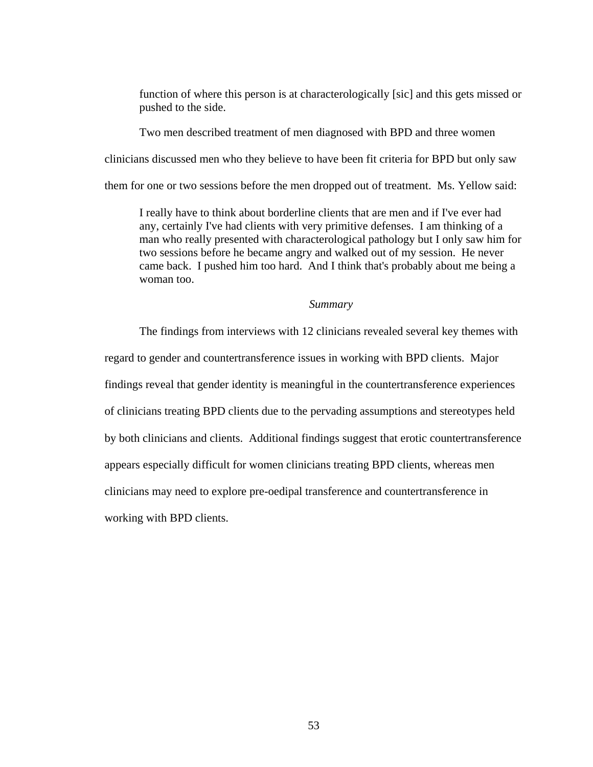function of where this person is at characterologically [sic] and this gets missed or pushed to the side.

Two men described treatment of men diagnosed with BPD and three women clinicians discussed men who they believe to have been fit criteria for BPD but only saw them for one or two sessions before the men dropped out of treatment. Ms. Yellow said:

I really have to think about borderline clients that are men and if I've ever had any, certainly I've had clients with very primitive defenses. I am thinking of a man who really presented with characterological pathology but I only saw him for two sessions before he became angry and walked out of my session. He never came back. I pushed him too hard. And I think that's probably about me being a woman too.

## *Summary*

The findings from interviews with 12 clinicians revealed several key themes with regard to gender and countertransference issues in working with BPD clients. Major findings reveal that gender identity is meaningful in the countertransference experiences of clinicians treating BPD clients due to the pervading assumptions and stereotypes held by both clinicians and clients. Additional findings suggest that erotic countertransference appears especially difficult for women clinicians treating BPD clients, whereas men clinicians may need to explore pre-oedipal transference and countertransference in working with BPD clients.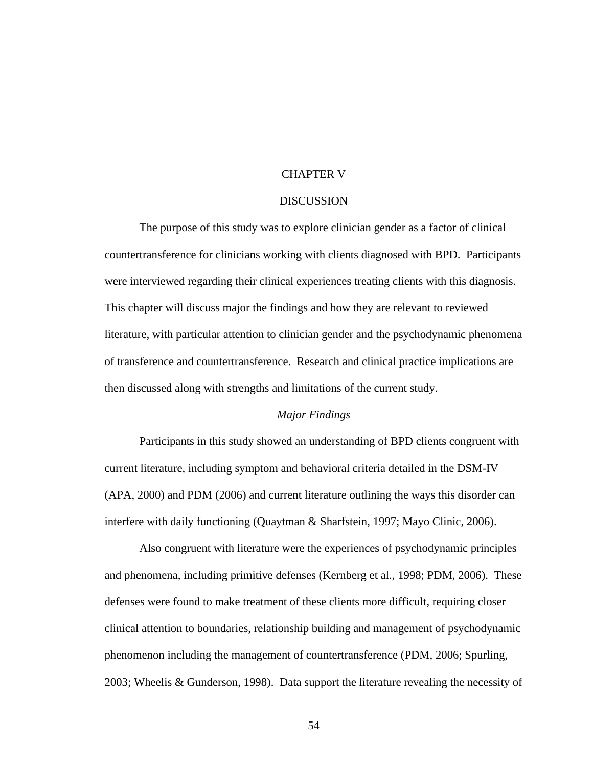#### CHAPTER V

#### DISCUSSION

The purpose of this study was to explore clinician gender as a factor of clinical countertransference for clinicians working with clients diagnosed with BPD. Participants were interviewed regarding their clinical experiences treating clients with this diagnosis. This chapter will discuss major the findings and how they are relevant to reviewed literature, with particular attention to clinician gender and the psychodynamic phenomena of transference and countertransference. Research and clinical practice implications are then discussed along with strengths and limitations of the current study.

### *Major Findings*

Participants in this study showed an understanding of BPD clients congruent with current literature, including symptom and behavioral criteria detailed in the DSM-IV (APA, 2000) and PDM (2006) and current literature outlining the ways this disorder can interfere with daily functioning (Quaytman & Sharfstein, 1997; Mayo Clinic, 2006).

Also congruent with literature were the experiences of psychodynamic principles and phenomena, including primitive defenses (Kernberg et al., 1998; PDM, 2006). These defenses were found to make treatment of these clients more difficult, requiring closer clinical attention to boundaries, relationship building and management of psychodynamic phenomenon including the management of countertransference (PDM, 2006; Spurling, 2003; Wheelis & Gunderson, 1998). Data support the literature revealing the necessity of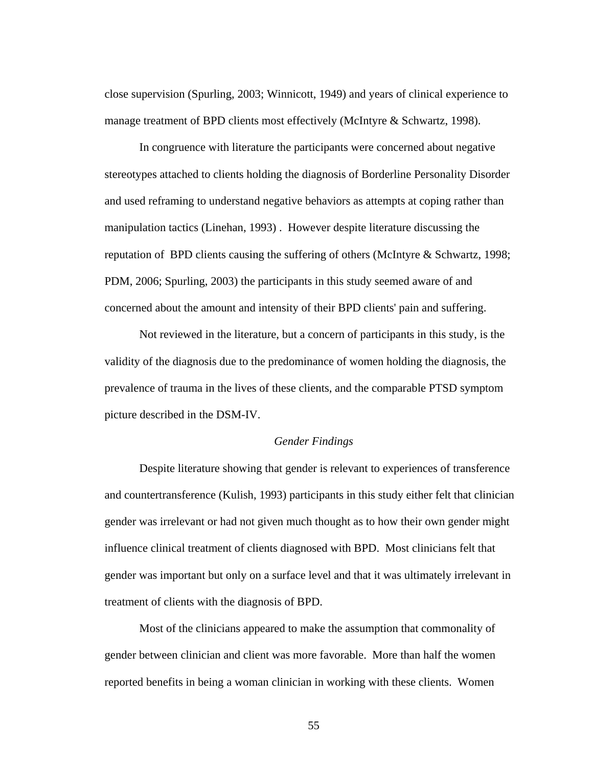close supervision (Spurling, 2003; Winnicott, 1949) and years of clinical experience to manage treatment of BPD clients most effectively (McIntyre & Schwartz, 1998).

In congruence with literature the participants were concerned about negative stereotypes attached to clients holding the diagnosis of Borderline Personality Disorder and used reframing to understand negative behaviors as attempts at coping rather than manipulation tactics (Linehan, 1993) . However despite literature discussing the reputation of BPD clients causing the suffering of others (McIntyre & Schwartz, 1998; PDM, 2006; Spurling, 2003) the participants in this study seemed aware of and concerned about the amount and intensity of their BPD clients' pain and suffering.

Not reviewed in the literature, but a concern of participants in this study, is the validity of the diagnosis due to the predominance of women holding the diagnosis, the prevalence of trauma in the lives of these clients, and the comparable PTSD symptom picture described in the DSM-IV.

## *Gender Findings*

Despite literature showing that gender is relevant to experiences of transference and countertransference (Kulish, 1993) participants in this study either felt that clinician gender was irrelevant or had not given much thought as to how their own gender might influence clinical treatment of clients diagnosed with BPD. Most clinicians felt that gender was important but only on a surface level and that it was ultimately irrelevant in treatment of clients with the diagnosis of BPD.

Most of the clinicians appeared to make the assumption that commonality of gender between clinician and client was more favorable. More than half the women reported benefits in being a woman clinician in working with these clients. Women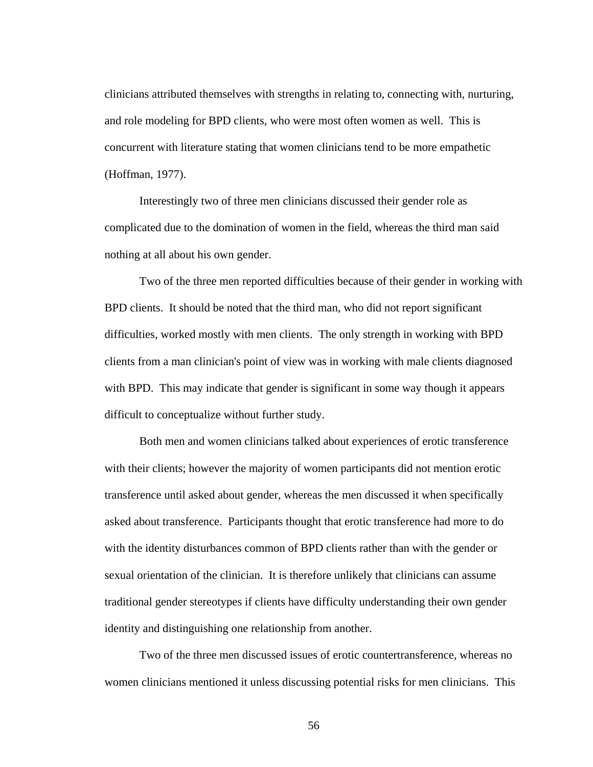clinicians attributed themselves with strengths in relating to, connecting with, nurturing, and role modeling for BPD clients, who were most often women as well. This is concurrent with literature stating that women clinicians tend to be more empathetic (Hoffman, 1977).

Interestingly two of three men clinicians discussed their gender role as complicated due to the domination of women in the field, whereas the third man said nothing at all about his own gender.

Two of the three men reported difficulties because of their gender in working with BPD clients. It should be noted that the third man, who did not report significant difficulties, worked mostly with men clients. The only strength in working with BPD clients from a man clinician's point of view was in working with male clients diagnosed with BPD. This may indicate that gender is significant in some way though it appears difficult to conceptualize without further study.

Both men and women clinicians talked about experiences of erotic transference with their clients; however the majority of women participants did not mention erotic transference until asked about gender, whereas the men discussed it when specifically asked about transference. Participants thought that erotic transference had more to do with the identity disturbances common of BPD clients rather than with the gender or sexual orientation of the clinician. It is therefore unlikely that clinicians can assume traditional gender stereotypes if clients have difficulty understanding their own gender identity and distinguishing one relationship from another.

Two of the three men discussed issues of erotic countertransference, whereas no women clinicians mentioned it unless discussing potential risks for men clinicians. This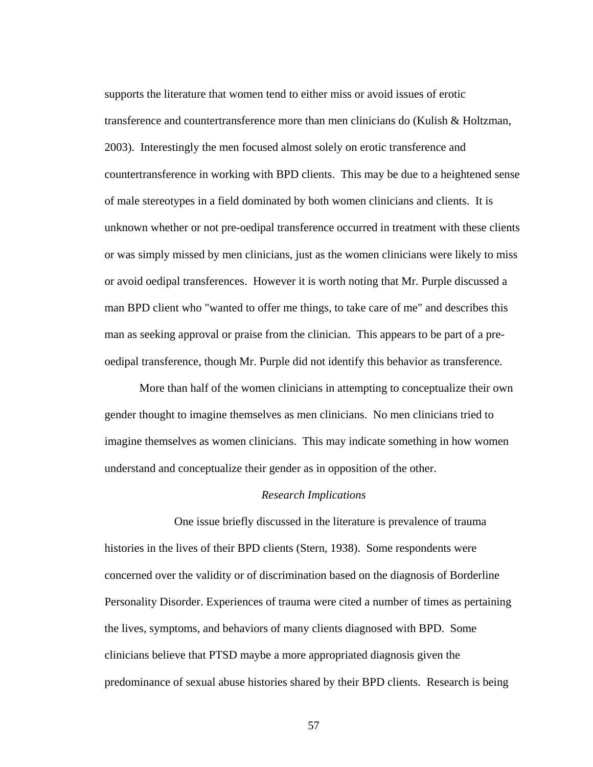supports the literature that women tend to either miss or avoid issues of erotic transference and countertransference more than men clinicians do (Kulish & Holtzman, 2003). Interestingly the men focused almost solely on erotic transference and countertransference in working with BPD clients. This may be due to a heightened sense of male stereotypes in a field dominated by both women clinicians and clients. It is unknown whether or not pre-oedipal transference occurred in treatment with these clients or was simply missed by men clinicians, just as the women clinicians were likely to miss or avoid oedipal transferences. However it is worth noting that Mr. Purple discussed a man BPD client who "wanted to offer me things, to take care of me" and describes this man as seeking approval or praise from the clinician. This appears to be part of a preoedipal transference, though Mr. Purple did not identify this behavior as transference.

More than half of the women clinicians in attempting to conceptualize their own gender thought to imagine themselves as men clinicians. No men clinicians tried to imagine themselves as women clinicians. This may indicate something in how women understand and conceptualize their gender as in opposition of the other.

#### *Research Implications*

One issue briefly discussed in the literature is prevalence of trauma histories in the lives of their BPD clients (Stern, 1938). Some respondents were concerned over the validity or of discrimination based on the diagnosis of Borderline Personality Disorder. Experiences of trauma were cited a number of times as pertaining the lives, symptoms, and behaviors of many clients diagnosed with BPD. Some clinicians believe that PTSD maybe a more appropriated diagnosis given the predominance of sexual abuse histories shared by their BPD clients. Research is being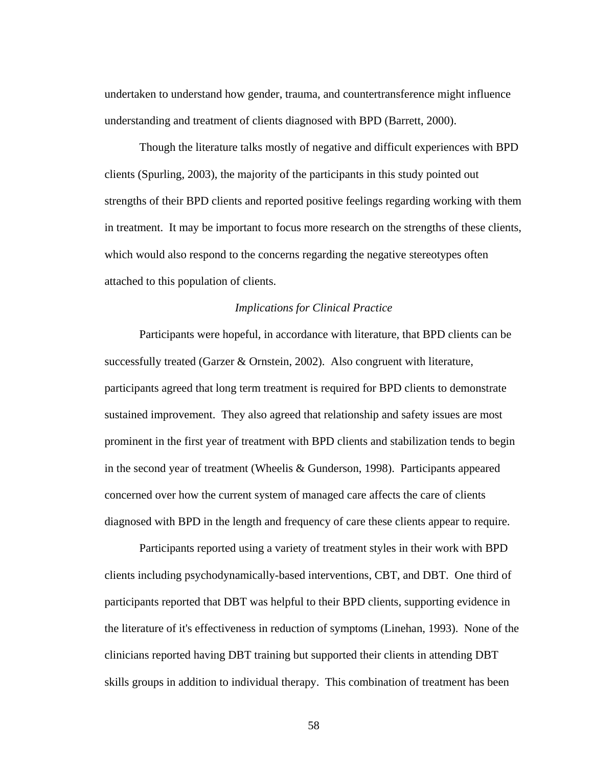undertaken to understand how gender, trauma, and countertransference might influence understanding and treatment of clients diagnosed with BPD (Barrett, 2000).

Though the literature talks mostly of negative and difficult experiences with BPD clients (Spurling, 2003), the majority of the participants in this study pointed out strengths of their BPD clients and reported positive feelings regarding working with them in treatment. It may be important to focus more research on the strengths of these clients, which would also respond to the concerns regarding the negative stereotypes often attached to this population of clients.

#### *Implications for Clinical Practice*

Participants were hopeful, in accordance with literature, that BPD clients can be successfully treated (Garzer & Ornstein, 2002). Also congruent with literature, participants agreed that long term treatment is required for BPD clients to demonstrate sustained improvement. They also agreed that relationship and safety issues are most prominent in the first year of treatment with BPD clients and stabilization tends to begin in the second year of treatment (Wheelis & Gunderson, 1998). Participants appeared concerned over how the current system of managed care affects the care of clients diagnosed with BPD in the length and frequency of care these clients appear to require.

Participants reported using a variety of treatment styles in their work with BPD clients including psychodynamically-based interventions, CBT, and DBT. One third of participants reported that DBT was helpful to their BPD clients, supporting evidence in the literature of it's effectiveness in reduction of symptoms (Linehan, 1993). None of the clinicians reported having DBT training but supported their clients in attending DBT skills groups in addition to individual therapy. This combination of treatment has been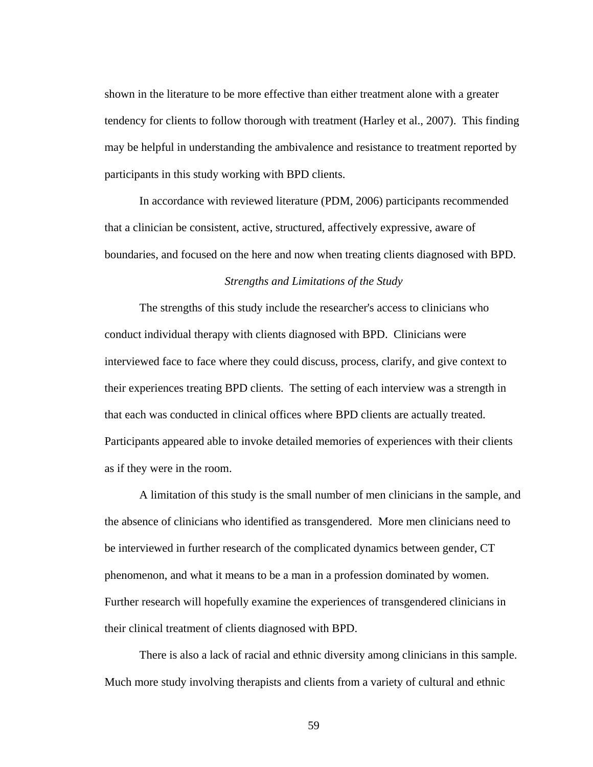shown in the literature to be more effective than either treatment alone with a greater tendency for clients to follow thorough with treatment (Harley et al., 2007). This finding may be helpful in understanding the ambivalence and resistance to treatment reported by participants in this study working with BPD clients.

In accordance with reviewed literature (PDM, 2006) participants recommended that a clinician be consistent, active, structured, affectively expressive, aware of boundaries, and focused on the here and now when treating clients diagnosed with BPD.

## *Strengths and Limitations of the Study*

The strengths of this study include the researcher's access to clinicians who conduct individual therapy with clients diagnosed with BPD. Clinicians were interviewed face to face where they could discuss, process, clarify, and give context to their experiences treating BPD clients. The setting of each interview was a strength in that each was conducted in clinical offices where BPD clients are actually treated. Participants appeared able to invoke detailed memories of experiences with their clients as if they were in the room.

A limitation of this study is the small number of men clinicians in the sample, and the absence of clinicians who identified as transgendered. More men clinicians need to be interviewed in further research of the complicated dynamics between gender, CT phenomenon, and what it means to be a man in a profession dominated by women. Further research will hopefully examine the experiences of transgendered clinicians in their clinical treatment of clients diagnosed with BPD.

There is also a lack of racial and ethnic diversity among clinicians in this sample. Much more study involving therapists and clients from a variety of cultural and ethnic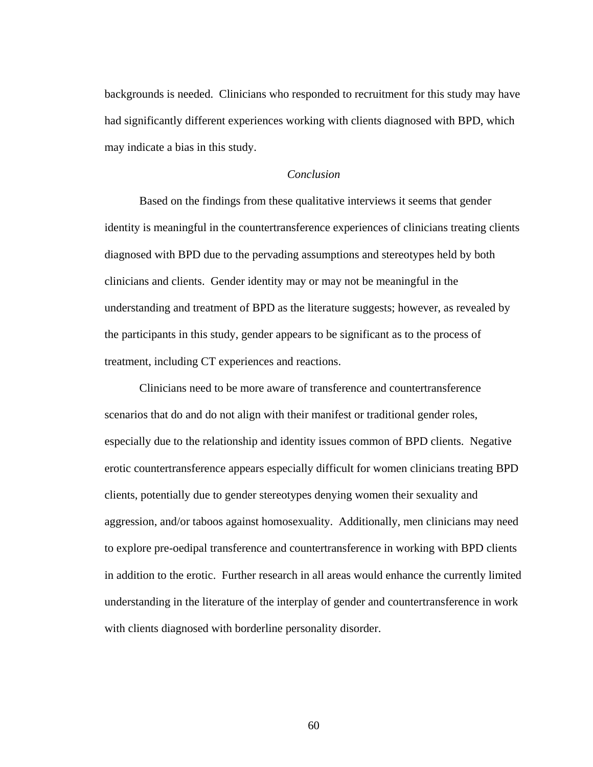backgrounds is needed. Clinicians who responded to recruitment for this study may have had significantly different experiences working with clients diagnosed with BPD, which may indicate a bias in this study.

### *Conclusion*

Based on the findings from these qualitative interviews it seems that gender identity is meaningful in the countertransference experiences of clinicians treating clients diagnosed with BPD due to the pervading assumptions and stereotypes held by both clinicians and clients. Gender identity may or may not be meaningful in the understanding and treatment of BPD as the literature suggests; however, as revealed by the participants in this study, gender appears to be significant as to the process of treatment, including CT experiences and reactions.

Clinicians need to be more aware of transference and countertransference scenarios that do and do not align with their manifest or traditional gender roles, especially due to the relationship and identity issues common of BPD clients. Negative erotic countertransference appears especially difficult for women clinicians treating BPD clients, potentially due to gender stereotypes denying women their sexuality and aggression, and/or taboos against homosexuality. Additionally, men clinicians may need to explore pre-oedipal transference and countertransference in working with BPD clients in addition to the erotic. Further research in all areas would enhance the currently limited understanding in the literature of the interplay of gender and countertransference in work with clients diagnosed with borderline personality disorder.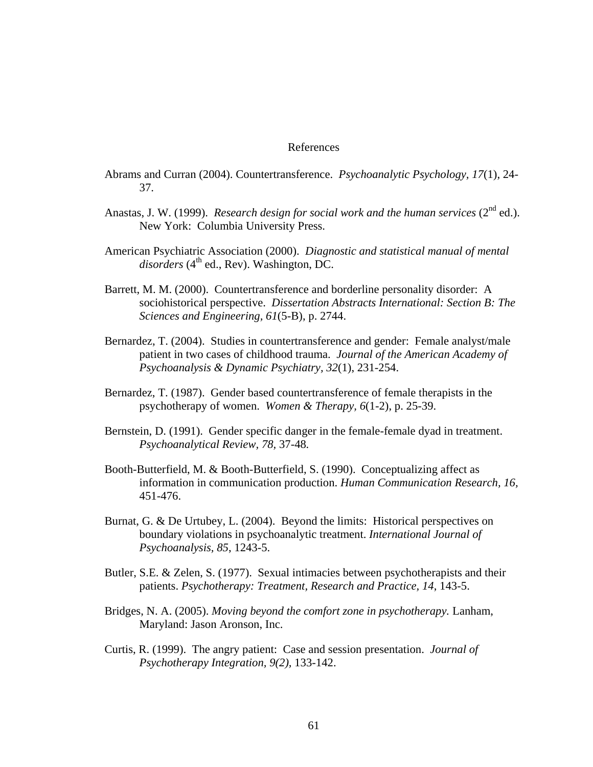#### References

- Abrams and Curran (2004). Countertransference. *Psychoanalytic Psychology, 17*(1), 24- 37.
- Anastas, J. W. (1999). *Research design for social work and the human services* (2<sup>nd</sup> ed.). New York: Columbia University Press.
- American Psychiatric Association (2000). *Diagnostic and statistical manual of mental disorders* (4<sup>th</sup> ed., Rev). Washington, DC.
- Barrett, M. M. (2000). Countertransference and borderline personality disorder: A sociohistorical perspective. *Dissertation Abstracts International: Section B: The Sciences and Engineering, 61*(5-B), p. 2744.
- Bernardez, T. (2004). Studies in countertransference and gender: Female analyst/male patient in two cases of childhood trauma. *Journal of the American Academy of Psychoanalysis & Dynamic Psychiatry, 32*(1), 231-254.
- Bernardez, T. (1987). Gender based countertransference of female therapists in the psychotherapy of women. *Women & Therapy, 6*(1-2), p. 25-39.
- Bernstein, D. (1991). Gender specific danger in the female-female dyad in treatment. *Psychoanalytical Review, 78,* 37-48*.*
- Booth-Butterfield, M. & Booth-Butterfield, S. (1990). Conceptualizing affect as information in communication production. *Human Communication Research, 16,*  451-476.
- Burnat, G. & De Urtubey, L. (2004). Beyond the limits: Historical perspectives on boundary violations in psychoanalytic treatment. *International Journal of Psychoanalysis, 85*, 1243-5.
- Butler, S.E. & Zelen, S. (1977). Sexual intimacies between psychotherapists and their patients. *Psychotherapy: Treatment, Research and Practice, 14*, 143-5.
- Bridges, N. A. (2005). *Moving beyond the comfort zone in psychotherapy.* Lanham, Maryland: Jason Aronson, Inc.
- Curtis, R. (1999). The angry patient: Case and session presentation. *Journal of Psychotherapy Integration, 9(2),* 133-142.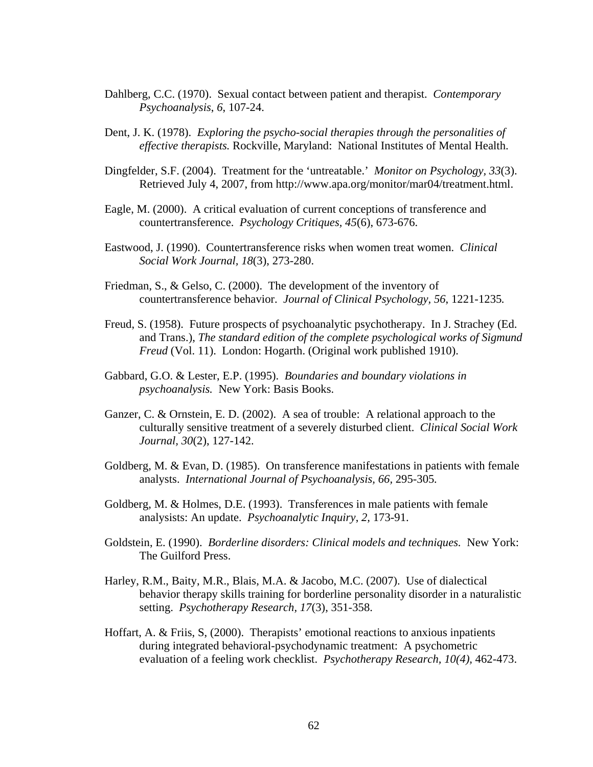- Dahlberg, C.C. (1970). Sexual contact between patient and therapist. *Contemporary Psychoanalysis*, *6*, 107-24.
- Dent, J. K. (1978). *Exploring the psycho-social therapies through the personalities of effective therapists.* Rockville, Maryland: National Institutes of Mental Health.
- Dingfelder, S.F. (2004). Treatment for the 'untreatable.' *Monitor on Psychology, 33*(3). Retrieved July 4, 2007, from http://www.apa.org/monitor/mar04/treatment.html.
- Eagle, M. (2000). A critical evaluation of current conceptions of transference and countertransference. *Psychology Critiques, 45*(6), 673-676.
- Eastwood, J. (1990). Countertransference risks when women treat women. *Clinical Social Work Journal, 18*(3), 273-280.
- Friedman, S., & Gelso, C. (2000). The development of the inventory of countertransference behavior. *Journal of Clinical Psychology, 56*, 1221-1235*.*
- Freud, S. (1958). Future prospects of psychoanalytic psychotherapy. In J. Strachey (Ed. and Trans.), *The standard edition of the complete psychological works of Sigmund Freud* (Vol. 11). London: Hogarth. (Original work published 1910).
- Gabbard, G.O. & Lester, E.P. (1995). *Boundaries and boundary violations in psychoanalysis.* New York: Basis Books.
- Ganzer, C. & Ornstein, E. D. (2002). A sea of trouble: A relational approach to the culturally sensitive treatment of a severely disturbed client. *Clinical Social Work Journal, 30*(2), 127-142.
- Goldberg, M. & Evan, D. (1985). On transference manifestations in patients with female analysts. *International Journal of Psychoanalysis, 66,* 295-305*.*
- Goldberg, M. & Holmes, D.E. (1993). Transferences in male patients with female analysists: An update. *Psychoanalytic Inquiry*, *2,* 173-91.
- Goldstein, E. (1990). *Borderline disorders: Clinical models and techniques.* New York: The Guilford Press.
- Harley, R.M., Baity, M.R., Blais, M.A. & Jacobo, M.C. (2007). Use of dialectical behavior therapy skills training for borderline personality disorder in a naturalistic setting. *Psychotherapy Research, 17*(3), 351-358.
- Hoffart, A. & Friis, S, (2000). Therapists' emotional reactions to anxious inpatients during integrated behavioral-psychodynamic treatment: A psychometric evaluation of a feeling work checklist. *Psychotherapy Research, 10(4),* 462-473.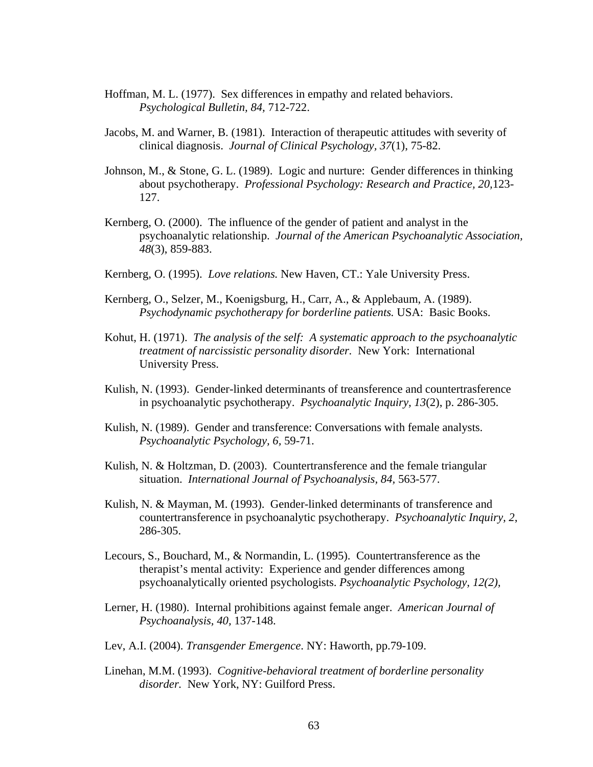- Hoffman, M. L. (1977). Sex differences in empathy and related behaviors. *Psychological Bulletin, 84,* 712-722.
- Jacobs, M. and Warner, B. (1981). Interaction of therapeutic attitudes with severity of clinical diagnosis. *Journal of Clinical Psychology, 37*(1), 75-82.
- Johnson, M., & Stone, G. L. (1989). Logic and nurture: Gender differences in thinking about psychotherapy. *Professional Psychology: Research and Practice, 20,*123- 127.
- Kernberg, O. (2000). The influence of the gender of patient and analyst in the psychoanalytic relationship. *Journal of the American Psychoanalytic Association, 48*(3), 859-883.
- Kernberg, O. (1995). *Love relations.* New Haven, CT.: Yale University Press.
- Kernberg, O., Selzer, M., Koenigsburg, H., Carr, A., & Applebaum, A. (1989). *Psychodynamic psychotherapy for borderline patients.* USA: Basic Books.
- Kohut, H. (1971). *The analysis of the self: A systematic approach to the psychoanalytic treatment of narcissistic personality disorder.* New York: International University Press.
- Kulish, N. (1993). Gender-linked determinants of treansference and countertrasference in psychoanalytic psychotherapy. *Psychoanalytic Inquiry, 13*(2), p. 286-305.
- Kulish, N. (1989). Gender and transference: Conversations with female analysts. *Psychoanalytic Psychology, 6,* 59-71.
- Kulish, N. & Holtzman, D. (2003). Countertransference and the female triangular situation. *International Journal of Psychoanalysis, 84,* 563-577.
- Kulish, N. & Mayman, M. (1993). Gender-linked determinants of transference and countertransference in psychoanalytic psychotherapy. *Psychoanalytic Inquiry, 2*, 286-305.
- Lecours, S., Bouchard, M., & Normandin, L. (1995). Countertransference as the therapist's mental activity: Experience and gender differences among psychoanalytically oriented psychologists. *Psychoanalytic Psychology, 12(2),*
- Lerner, H. (1980). Internal prohibitions against female anger. *American Journal of Psychoanalysis, 40,* 137-148.
- Lev, A.I. (2004). *Transgender Emergence*. NY: Haworth, pp.79-109.
- Linehan, M.M. (1993). *Cognitive-behavioral treatment of borderline personality disorder.* New York, NY: Guilford Press.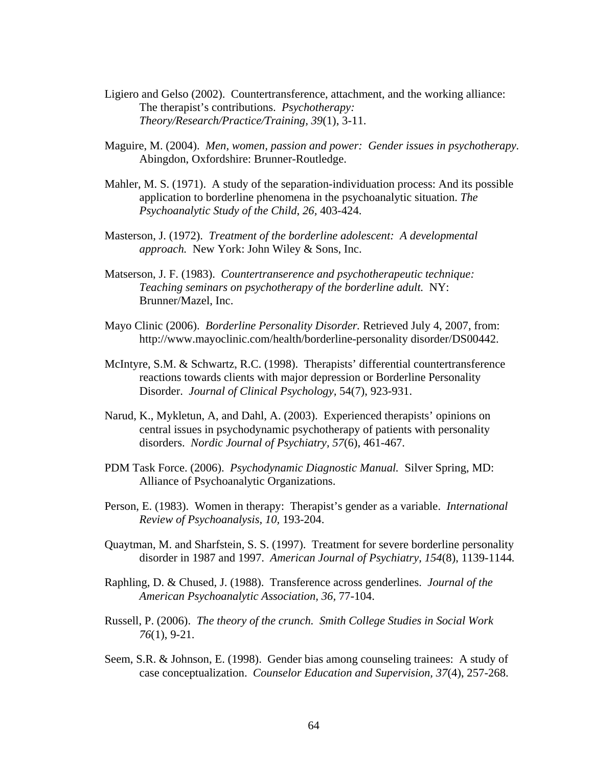- Ligiero and Gelso (2002). Countertransference, attachment, and the working alliance: The therapist's contributions. *Psychotherapy: Theory/Research/Practice/Training, 39*(1), 3-11.
- Maguire, M. (2004). *Men, women, passion and power: Gender issues in psychotherapy.*  Abingdon, Oxfordshire: Brunner-Routledge.
- Mahler, M. S. (1971). A study of the separation-individuation process: And its possible application to borderline phenomena in the psychoanalytic situation. *[The](javascript:__doLinkPostBack()  [Psychoanalytic Study of the Child](javascript:__doLinkPostBack()*, *26,* 403-424.
- Masterson, J. (1972). *Treatment of the borderline adolescent: A developmental approach.* New York: John Wiley & Sons, Inc.
- Matserson, J. F. (1983). *Countertranserence and psychotherapeutic technique: Teaching seminars on psychotherapy of the borderline adult.* NY: Brunner/Mazel, Inc.
- Mayo Clinic (2006). *Borderline Personality Disorder.* Retrieved July 4, 2007, from: [http://www.mayoclinic.com/health/borderline-personality disorder/DS00442](http://www.mayoclinic.com/health/borderline-personality%20disorder/DS00442).
- McIntyre, S.M. & Schwartz, R.C. (1998). Therapists' differential countertransference reactions towards clients with major depression or Borderline Personality Disorder. *Journal of Clinical Psychology,* 54(7), 923-931.
- Narud, K., Mykletun, A, and Dahl, A. (2003). Experienced therapists' opinions on central issues in psychodynamic psychotherapy of patients with personality disorders. *Nordic Journal of Psychiatry, 57*(6), 461-467.
- PDM Task Force. (2006). *Psychodynamic Diagnostic Manual.* Silver Spring, MD: Alliance of Psychoanalytic Organizations.
- Person, E. (1983). Women in therapy: Therapist's gender as a variable. *International Review of Psychoanalysis, 10,* 193-204.
- Quaytman, M. and Sharfstein, S. S. (1997). Treatment for severe borderline personality disorder in 1987 and 1997. *American Journal of Psychiatry, 154*(8), 1139-1144*.*
- Raphling, D. & Chused, J. (1988). Transference across genderlines. *Journal of the American Psychoanalytic Association, 36,* 77-104.
- Russell, P. (2006). *The theory of the crunch. Smith College Studies in Social Work 76*(1), 9-21.
- Seem, S.R. & Johnson, E. (1998). Gender bias among counseling trainees: A study of case conceptualization. *Counselor Education and Supervision, 37*(4), 257-268.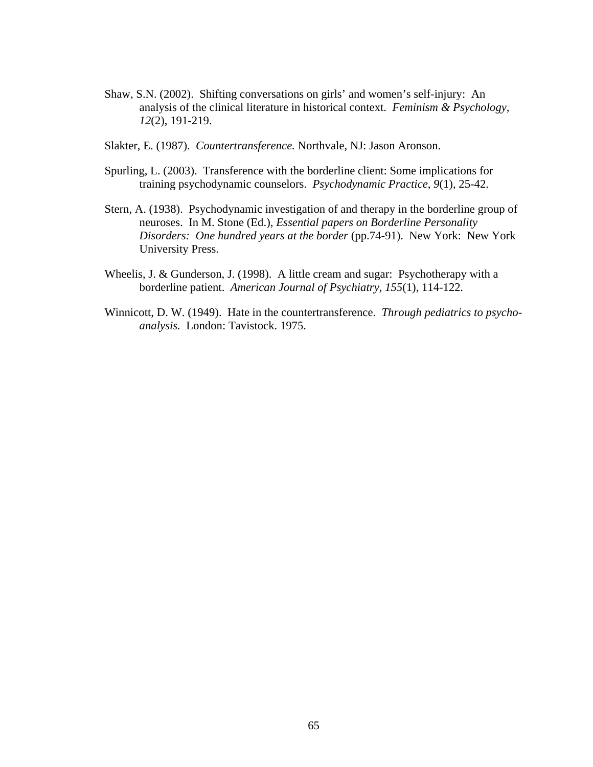- Shaw, S.N. (2002). Shifting conversations on girls' and women's self-injury: An analysis of the clinical literature in historical context. *Feminism & Psychology, 12*(2), 191-219.
- Slakter, E. (1987). *Countertransference.* Northvale, NJ: Jason Aronson.
- Spurling, L. (2003). Transference with the borderline client: Some implications for training psychodynamic counselors. *Psychodynamic Practice*, *9*(1), 25-42.
- Stern, A. (1938). Psychodynamic investigation of and therapy in the borderline group of neuroses. In M. Stone (Ed.), *Essential papers on Borderline Personality Disorders: One hundred years at the border* (pp.74-91). New York: New York University Press.
- Wheelis, J. & Gunderson, J. (1998). A little cream and sugar: Psychotherapy with a borderline patient. *American Journal of Psychiatry, 155*(1), 114-122*.*
- Winnicott, D. W. (1949). Hate in the countertransference. *Through pediatrics to psychoanalysis.* London: Tavistock. 1975.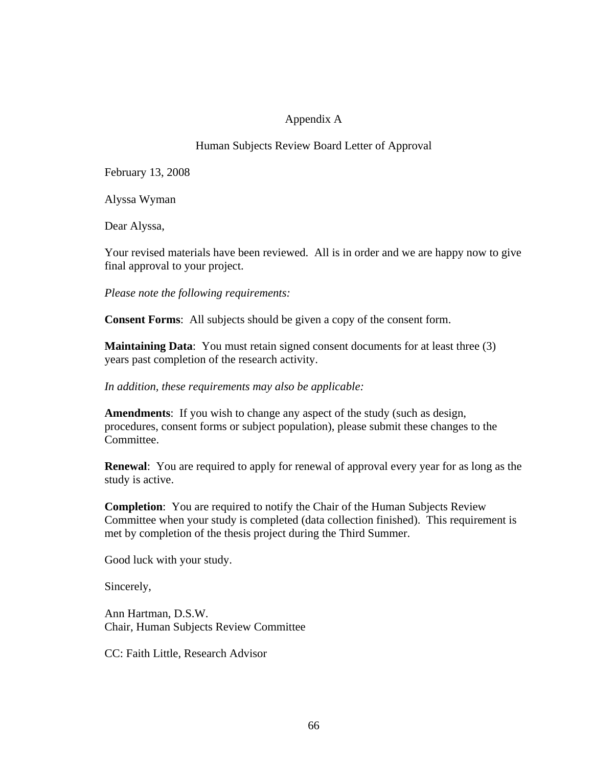# Appendix A

# Human Subjects Review Board Letter of Approval

February 13, 2008

Alyssa Wyman

Dear Alyssa,

Your revised materials have been reviewed. All is in order and we are happy now to give final approval to your project.

*Please note the following requirements:*

**Consent Forms**: All subjects should be given a copy of the consent form.

**Maintaining Data**: You must retain signed consent documents for at least three (3) years past completion of the research activity.

*In addition, these requirements may also be applicable:* 

**Amendments**: If you wish to change any aspect of the study (such as design, procedures, consent forms or subject population), please submit these changes to the Committee.

**Renewal**: You are required to apply for renewal of approval every year for as long as the study is active.

**Completion**: You are required to notify the Chair of the Human Subjects Review Committee when your study is completed (data collection finished). This requirement is met by completion of the thesis project during the Third Summer.

Good luck with your study.

Sincerely,

Ann Hartman, D.S.W. Chair, Human Subjects Review Committee

CC: Faith Little, Research Advisor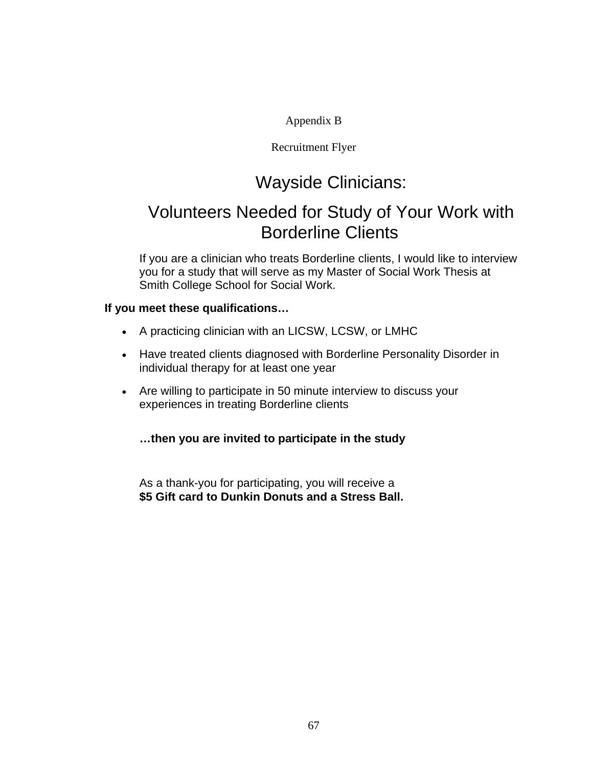# Appendix B

Recruitment Flyer

# Wayside Clinicians:

# Volunteers Needed for Study of Your Work with Borderline Clients

If you are a clinician who treats Borderline clients, I would like to interview you for a study that will serve as my Master of Social Work Thesis at Smith College School for Social Work.

## **If you meet these qualifications…**

- A practicing clinician with an LICSW, LCSW, or LMHC
- Have treated clients diagnosed with Borderline Personality Disorder in individual therapy for at least one year
- Are willing to participate in 50 minute interview to discuss your experiences in treating Borderline clients
	- **…then you are invited to participate in the study**

As a thank-you for participating, you will receive a **\$5 Gift card to Dunkin Donuts and a Stress Ball.**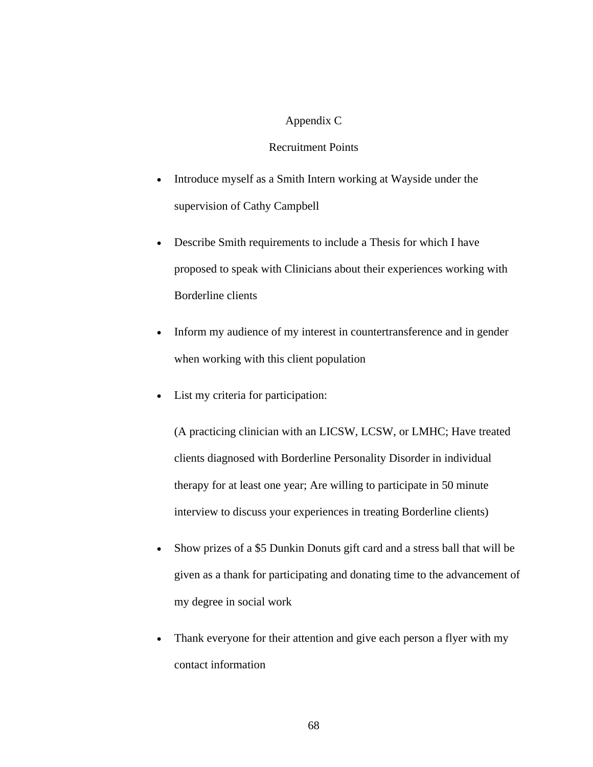#### Appendix C

#### Recruitment Points

- Introduce myself as a Smith Intern working at Wayside under the supervision of Cathy Campbell
- Describe Smith requirements to include a Thesis for which I have proposed to speak with Clinicians about their experiences working with Borderline clients
- Inform my audience of my interest in countertransference and in gender when working with this client population
- List my criteria for participation:

(A practicing clinician with an LICSW, LCSW, or LMHC; Have treated clients diagnosed with Borderline Personality Disorder in individual therapy for at least one year; Are willing to participate in 50 minute interview to discuss your experiences in treating Borderline clients)

- Show prizes of a \$5 Dunkin Donuts gift card and a stress ball that will be given as a thank for participating and donating time to the advancement of my degree in social work
- Thank everyone for their attention and give each person a flyer with my contact information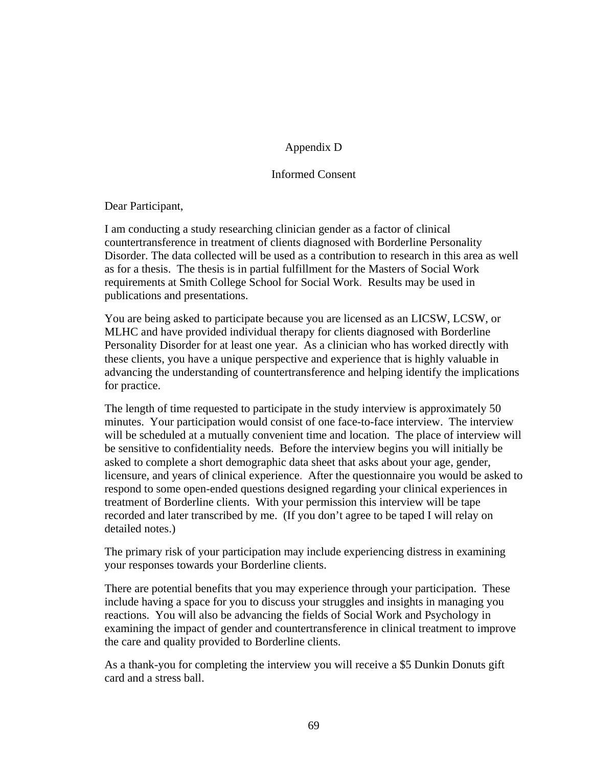## Appendix D

#### Informed Consent

Dear Participant,

I am conducting a study researching clinician gender as a factor of clinical countertransference in treatment of clients diagnosed with Borderline Personality Disorder. The data collected will be used as a contribution to research in this area as well as for a thesis. The thesis is in partial fulfillment for the Masters of Social Work requirements at Smith College School for Social Work. Results may be used in publications and presentations.

You are being asked to participate because you are licensed as an LICSW, LCSW, or MLHC and have provided individual therapy for clients diagnosed with Borderline Personality Disorder for at least one year. As a clinician who has worked directly with these clients, you have a unique perspective and experience that is highly valuable in advancing the understanding of countertransference and helping identify the implications for practice.

The length of time requested to participate in the study interview is approximately 50 minutes. Your participation would consist of one face-to-face interview. The interview will be scheduled at a mutually convenient time and location. The place of interview will be sensitive to confidentiality needs. Before the interview begins you will initially be asked to complete a short demographic data sheet that asks about your age, gender, licensure, and years of clinical experience. After the questionnaire you would be asked to respond to some open-ended questions designed regarding your clinical experiences in treatment of Borderline clients. With your permission this interview will be tape recorded and later transcribed by me. (If you don't agree to be taped I will relay on detailed notes.)

The primary risk of your participation may include experiencing distress in examining your responses towards your Borderline clients.

There are potential benefits that you may experience through your participation. These include having a space for you to discuss your struggles and insights in managing you reactions. You will also be advancing the fields of Social Work and Psychology in examining the impact of gender and countertransference in clinical treatment to improve the care and quality provided to Borderline clients.

As a thank-you for completing the interview you will receive a \$5 Dunkin Donuts gift card and a stress ball.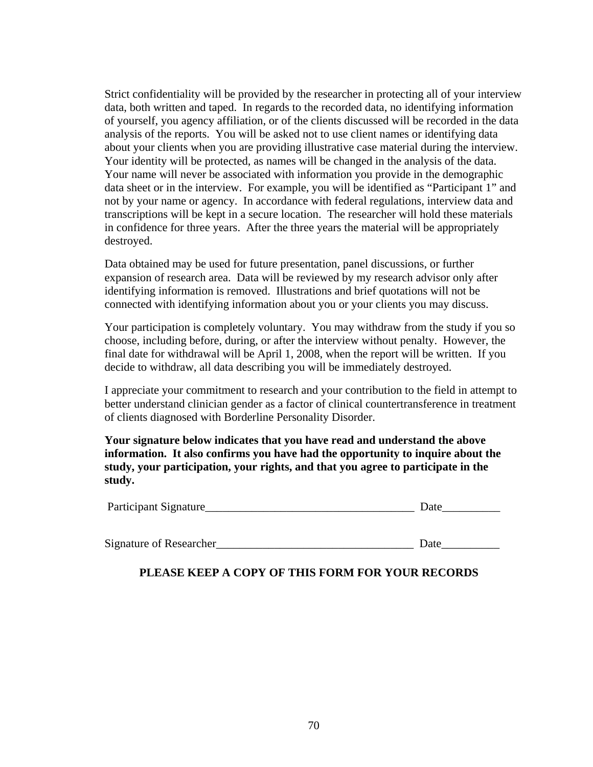Strict confidentiality will be provided by the researcher in protecting all of your interview data, both written and taped. In regards to the recorded data, no identifying information of yourself, you agency affiliation, or of the clients discussed will be recorded in the data analysis of the reports. You will be asked not to use client names or identifying data about your clients when you are providing illustrative case material during the interview. Your identity will be protected, as names will be changed in the analysis of the data. Your name will never be associated with information you provide in the demographic data sheet or in the interview. For example, you will be identified as "Participant 1" and not by your name or agency. In accordance with federal regulations, interview data and transcriptions will be kept in a secure location. The researcher will hold these materials in confidence for three years. After the three years the material will be appropriately destroyed.

Data obtained may be used for future presentation, panel discussions, or further expansion of research area. Data will be reviewed by my research advisor only after identifying information is removed. Illustrations and brief quotations will not be connected with identifying information about you or your clients you may discuss.

Your participation is completely voluntary. You may withdraw from the study if you so choose, including before, during, or after the interview without penalty. However, the final date for withdrawal will be April 1, 2008, when the report will be written. If you decide to withdraw, all data describing you will be immediately destroyed.

I appreciate your commitment to research and your contribution to the field in attempt to better understand clinician gender as a factor of clinical countertransference in treatment of clients diagnosed with Borderline Personality Disorder.

**Your signature below indicates that you have read and understand the above information. It also confirms you have had the opportunity to inquire about the study, your participation, your rights, and that you agree to participate in the study.**

| Participant Signature |  |
|-----------------------|--|
|-----------------------|--|

| Signature of Researcher |  |
|-------------------------|--|
|-------------------------|--|

## **PLEASE KEEP A COPY OF THIS FORM FOR YOUR RECORDS**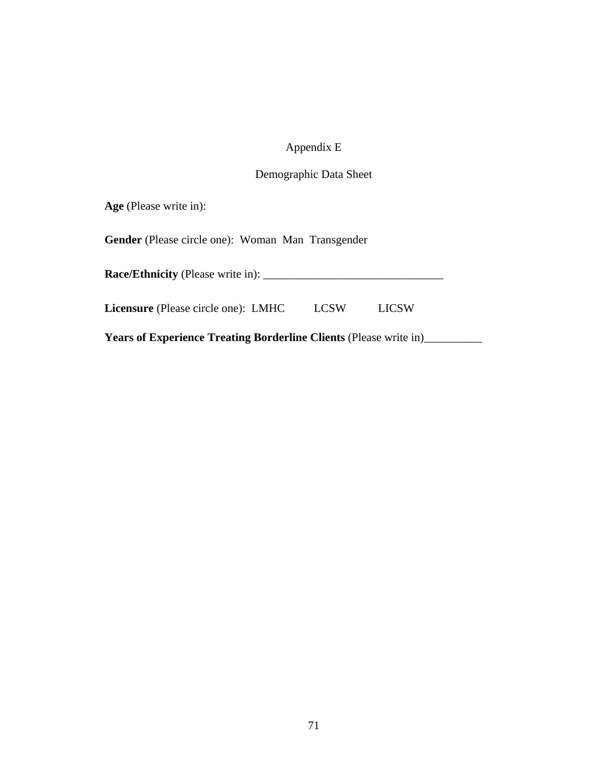## Appendix E

## Demographic Data Sheet

**Age** (Please write in):

**Gender** (Please circle one): Woman Man Transgender

**Race/Ethnicity** (Please write in): \_\_\_\_\_\_\_\_\_\_\_\_\_\_\_\_\_\_\_\_\_\_\_\_\_\_\_\_\_\_\_

**Licensure** (Please circle one): LMHC LCSW LICSW

**Years of Experience Treating Borderline Clients (Please write in)\_\_\_\_\_\_\_\_\_\_\_\_**